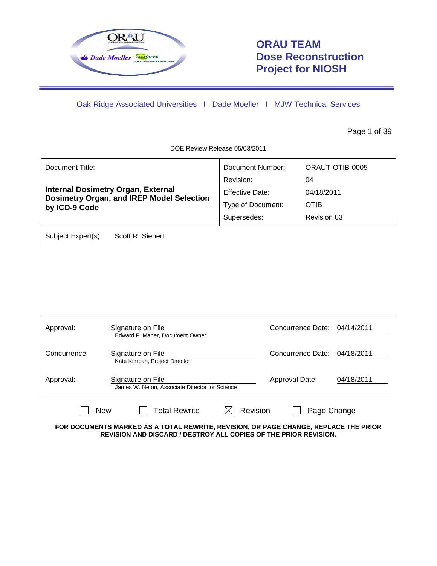

# **ORAU TEAM Dose Reconstruction Project for NIOSH**

Oak Ridge Associated Universities I Dade Moeller I MJW Technical Services

Page 1 of 39

DOE Review Release 05/03/2011

| Document Title:<br>by ICD-9 Code | <b>Internal Dosimetry Organ, External</b><br><b>Dosimetry Organ, and IREP Model Selection</b> | <b>Document Number:</b><br>Revision:<br><b>Effective Date:</b><br>Type of Document:<br>Supersedes: | ORAUT-OTIB-0005<br>04<br>04/18/2011<br><b>OTIB</b><br>Revision 03 |
|----------------------------------|-----------------------------------------------------------------------------------------------|----------------------------------------------------------------------------------------------------|-------------------------------------------------------------------|
| Subject Expert(s):               | Scott R. Siebert                                                                              |                                                                                                    |                                                                   |
| Approval:                        | Signature on File<br>Edward F. Maher, Document Owner                                          |                                                                                                    | Concurrence Date:<br>04/14/2011                                   |
| Concurrence:                     | Signature on File<br>Kate Kimpan, Project Director                                            |                                                                                                    | Concurrence Date: 04/18/2011                                      |
| Approval:                        | Signature on File<br>James W. Neton, Associate Director for Science                           | Approval Date:                                                                                     | 04/18/2011                                                        |
| <b>New</b>                       | <b>Total Rewrite</b>                                                                          | <b>Revision</b>                                                                                    | Page Change                                                       |

**FOR DOCUMENTS MARKED AS A TOTAL REWRITE, REVISION, OR PAGE CHANGE, REPLACE THE PRIOR REVISION AND DISCARD / DESTROY ALL COPIES OF THE PRIOR REVISION.**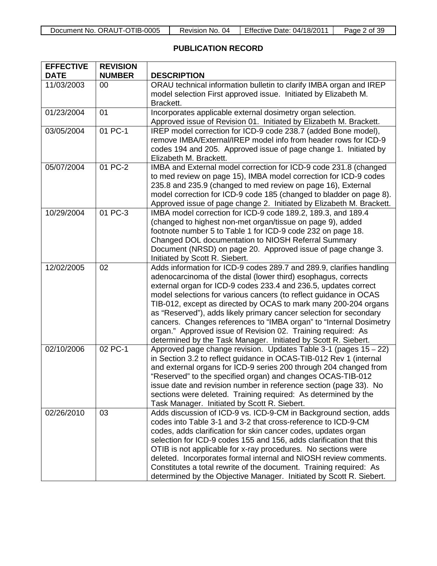| Document No. ORAUT-OTIB-0005 | -04<br>Revision No. | Effective Date: 04/18/2011 | Page 2 of 39 |
|------------------------------|---------------------|----------------------------|--------------|
|------------------------------|---------------------|----------------------------|--------------|

## **PUBLICATION RECORD**

| <b>EFFECTIVE</b><br><b>DATE</b> | <b>REVISION</b><br><b>NUMBER</b> | <b>DESCRIPTION</b>                                                                                                                                                                                                                                                                                                                                                                                                                                                                                                                                                                                                              |
|---------------------------------|----------------------------------|---------------------------------------------------------------------------------------------------------------------------------------------------------------------------------------------------------------------------------------------------------------------------------------------------------------------------------------------------------------------------------------------------------------------------------------------------------------------------------------------------------------------------------------------------------------------------------------------------------------------------------|
| 11/03/2003                      | 00                               | ORAU technical information bulletin to clarify IMBA organ and IREP<br>model selection First approved issue. Initiated by Elizabeth M.<br>Brackett.                                                                                                                                                                                                                                                                                                                                                                                                                                                                              |
| 01/23/2004                      | 01                               | Incorporates applicable external dosimetry organ selection.<br>Approved issue of Revision 01. Initiated by Elizabeth M. Brackett.                                                                                                                                                                                                                                                                                                                                                                                                                                                                                               |
| 03/05/2004                      | 01 PC-1                          | IREP model correction for ICD-9 code 238.7 (added Bone model),<br>remove IMBA/External/IREP model info from header rows for ICD-9<br>codes 194 and 205. Approved issue of page change 1. Initiated by<br>Elizabeth M. Brackett.                                                                                                                                                                                                                                                                                                                                                                                                 |
| 05/07/2004                      | 01 PC-2                          | IMBA and External model correction for ICD-9 code 231.8 (changed<br>to med review on page 15), IMBA model correction for ICD-9 codes<br>235.8 and 235.9 (changed to med review on page 16), External<br>model correction for ICD-9 code 185 (changed to bladder on page 8).<br>Approved issue of page change 2. Initiated by Elizabeth M. Brackett.                                                                                                                                                                                                                                                                             |
| 10/29/2004                      | 01 PC-3                          | IMBA model correction for ICD-9 code 189.2, 189.3, and 189.4<br>(changed to highest non-met organ/tissue on page 9), added<br>footnote number 5 to Table 1 for ICD-9 code 232 on page 18.<br>Changed DOL documentation to NIOSH Referral Summary<br>Document (NRSD) on page 20. Approved issue of page change 3.<br>Initiated by Scott R. Siebert.                                                                                                                                                                                                                                                                              |
| 12/02/2005                      | 02                               | Adds information for ICD-9 codes 289.7 and 289.9, clarifies handling<br>adenocarcinoma of the distal (lower third) esophagus, corrects<br>external organ for ICD-9 codes 233.4 and 236.5, updates correct<br>model selections for various cancers (to reflect guidance in OCAS<br>TIB-012, except as directed by OCAS to mark many 200-204 organs<br>as "Reserved"), adds likely primary cancer selection for secondary<br>cancers. Changes references to "IMBA organ" to "Internal Dosimetry<br>organ." Approved issue of Revision 02. Training required: As<br>determined by the Task Manager. Initiated by Scott R. Siebert. |
| 02/10/2006                      | 02 PC-1                          | Approved page change revision. Updates Table 3-1 (pages 15 - 22)<br>in Section 3.2 to reflect guidance in OCAS-TIB-012 Rev 1 (internal<br>and external organs for ICD-9 series 200 through 204 changed from<br>"Reserved" to the specified organ) and changes OCAS-TIB-012<br>issue date and revision number in reference section (page 33). No<br>sections were deleted. Training required: As determined by the<br>Task Manager. Initiated by Scott R. Siebert.                                                                                                                                                               |
| 02/26/2010                      | 03                               | Adds discussion of ICD-9 vs. ICD-9-CM in Background section, adds<br>codes into Table 3-1 and 3-2 that cross-reference to ICD-9-CM<br>codes, adds clarification for skin cancer codes, updates organ<br>selection for ICD-9 codes 155 and 156, adds clarification that this<br>OTIB is not applicable for x-ray procedures. No sections were<br>deleted. Incorporates formal internal and NIOSH review comments.<br>Constitutes a total rewrite of the document. Training required: As<br>determined by the Objective Manager. Initiated by Scott R. Siebert.                                                                   |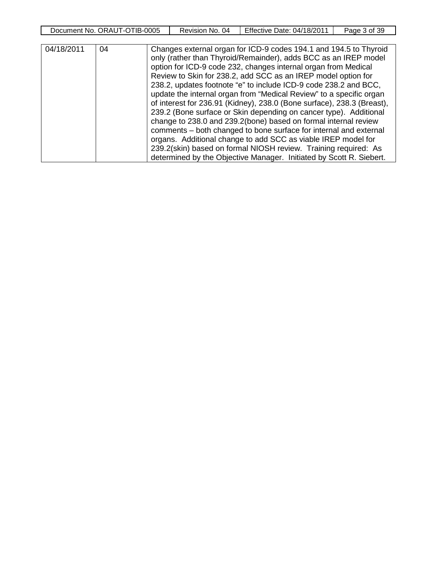| <b>IB-0005</b><br>ORAU<br>Document<br>N0 | 04<br>Revision<br>No. | Effective<br>$^{\prime}2011$<br>04/18/20<br>$\mathsf{Date}$ : | -39<br>3 of<br>Page |
|------------------------------------------|-----------------------|---------------------------------------------------------------|---------------------|
|                                          |                       |                                                               |                     |

| 04/18/2011 | 04 | Changes external organ for ICD-9 codes 194.1 and 194.5 to Thyroid<br>only (rather than Thyroid/Remainder), adds BCC as an IREP model<br>option for ICD-9 code 232, changes internal organ from Medical<br>Review to Skin for 238.2, add SCC as an IREP model option for<br>238.2, updates footnote "e" to include ICD-9 code 238.2 and BCC,<br>update the internal organ from "Medical Review" to a specific organ<br>of interest for 236.91 (Kidney), 238.0 (Bone surface), 238.3 (Breast),<br>239.2 (Bone surface or Skin depending on cancer type). Additional |
|------------|----|-------------------------------------------------------------------------------------------------------------------------------------------------------------------------------------------------------------------------------------------------------------------------------------------------------------------------------------------------------------------------------------------------------------------------------------------------------------------------------------------------------------------------------------------------------------------|
|            |    | change to 238.0 and 239.2(bone) based on formal internal review<br>comments – both changed to bone surface for internal and external<br>organs. Additional change to add SCC as viable IREP model for<br>239.2(skin) based on formal NIOSH review. Training required: As<br>determined by the Objective Manager. Initiated by Scott R. Siebert.                                                                                                                                                                                                                   |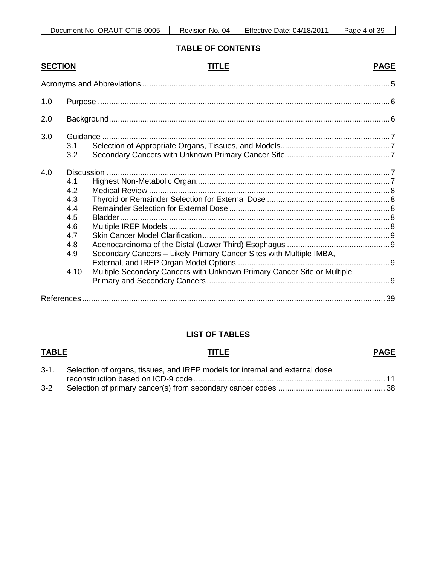| Document No. ORAUT-OTIB-0005 | ()4<br>NO.<br>Revision, | Effective Date: 04/18/2011 | 39<br>Page<br>0t |
|------------------------------|-------------------------|----------------------------|------------------|

### **TABLE OF CONTENTS**

| <b>SECTION</b> | <b>TITLE</b>                                                                                                                                                                                                          | <b>PAGE</b> |
|----------------|-----------------------------------------------------------------------------------------------------------------------------------------------------------------------------------------------------------------------|-------------|
|                |                                                                                                                                                                                                                       |             |
| 1.0            |                                                                                                                                                                                                                       |             |
| 2.0            |                                                                                                                                                                                                                       |             |
| 3.0            | 3.1<br>3.2                                                                                                                                                                                                            |             |
| 4.0            | 4.1<br>4.2<br>4.3<br>4.4<br>4.5<br>4.6<br>4.7<br>4.8<br>Secondary Cancers - Likely Primary Cancer Sites with Multiple IMBA,<br>4.9<br>4.10<br>Multiple Secondary Cancers with Unknown Primary Cancer Site or Multiple |             |
|                |                                                                                                                                                                                                                       |             |
|                |                                                                                                                                                                                                                       |             |

## **LIST OF TABLES**

### **TABLE TITLE** 3-1. Selection of organs, tissues, and IREP models for internal and external dose reconstruction based on ICD-9 code ...................................................................................... 11 **PAGE** 3-2 Selection of primary cancer(s) from secondary cancer codes ................................................ 38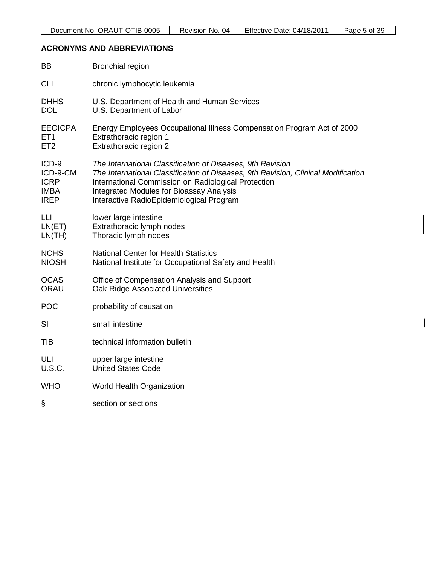$\mathbf{I}$ 

 $\mathbf{I}$ 

 $\overline{\phantom{a}}$ 

 $\mathbf{I}$ 

## **ACRONYMS AND ABBREVIATIONS**

| <b>BB</b>       | <b>Bronchial region</b>                                                           |
|-----------------|-----------------------------------------------------------------------------------|
| <b>CLL</b>      | chronic lymphocytic leukemia                                                      |
| <b>DHHS</b>     | U.S. Department of Health and Human Services                                      |
| <b>DOL</b>      | U.S. Department of Labor                                                          |
| <b>EEOICPA</b>  | Energy Employees Occupational Illness Compensation Program Act of 2000            |
| ET <sub>1</sub> | Extrathoracic region 1                                                            |
| ET <sub>2</sub> | Extrathoracic region 2                                                            |
| ICD-9           | The International Classification of Diseases, 9th Revision                        |
| ICD-9-CM        | The International Classification of Diseases, 9th Revision, Clinical Modification |
| <b>ICRP</b>     | International Commission on Radiological Protection                               |
| <b>IMBA</b>     | <b>Integrated Modules for Bioassay Analysis</b>                                   |
| <b>IREP</b>     | Interactive RadioEpidemiological Program                                          |
| LLI             | lower large intestine                                                             |
| LN(ET)          | Extrathoracic lymph nodes                                                         |
| LN(TH)          | Thoracic lymph nodes                                                              |
| <b>NCHS</b>     | <b>National Center for Health Statistics</b>                                      |
| <b>NIOSH</b>    | National Institute for Occupational Safety and Health                             |
| <b>OCAS</b>     | Office of Compensation Analysis and Support                                       |
| <b>ORAU</b>     | Oak Ridge Associated Universities                                                 |
| <b>POC</b>      | probability of causation                                                          |
| SI              | small intestine                                                                   |
| <b>TIB</b>      | technical information bulletin                                                    |
| ULI             | upper large intestine                                                             |
| <b>U.S.C.</b>   | <b>United States Code</b>                                                         |
| <b>WHO</b>      | World Health Organization                                                         |
| §               | section or sections                                                               |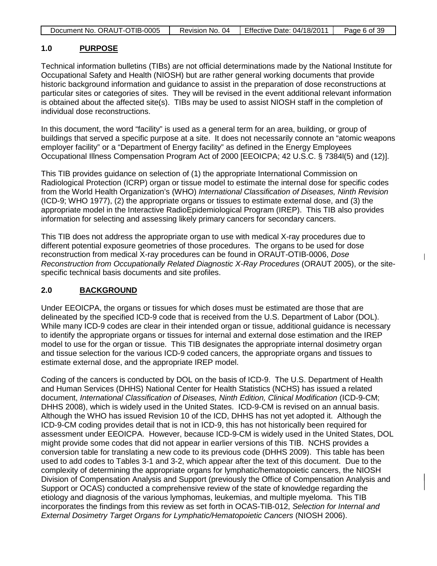| Document No. ORAUT-OTIB-0005 | Revision No. 04 | Effective Date: 04/18/2011 | Page 6 of 39 |
|------------------------------|-----------------|----------------------------|--------------|

#### **1.0 PURPOSE**

Technical information bulletins (TIBs) are not official determinations made by the National Institute for Occupational Safety and Health (NIOSH) but are rather general working documents that provide historic background information and guidance to assist in the preparation of dose reconstructions at particular sites or categories of sites. They will be revised in the event additional relevant information is obtained about the affected site(s). TIBs may be used to assist NIOSH staff in the completion of individual dose reconstructions.

In this document, the word "facility" is used as a general term for an area, building, or group of buildings that served a specific purpose at a site. It does not necessarily connote an "atomic weapons employer facility" or a "Department of Energy facility" as defined in the Energy Employees Occupational Illness Compensation Program Act of 2000 [EEOICPA; 42 U.S.C. § 7384l(5) and (12)].

This TIB provides guidance on selection of (1) the appropriate International Commission on Radiological Protection (ICRP) organ or tissue model to estimate the internal dose for specific codes from the World Health Organization's (WHO) *International Classification of Diseases, Ninth Revision* (ICD-9; WHO 1977), (2) the appropriate organs or tissues to estimate external dose, and (3) the appropriate model in the Interactive RadioEpidemiological Program (IREP). This TIB also provides information for selecting and assessing likely primary cancers for secondary cancers.

This TIB does not address the appropriate organ to use with medical X-ray procedures due to different potential exposure geometries of those procedures. The organs to be used for dose reconstruction from medical X-ray procedures can be found in ORAUT-OTIB-0006, *Dose Reconstruction from Occupationally Related Diagnostic X-Ray Procedures* (ORAUT 2005), or the sitespecific technical basis documents and site profiles.

 $\overline{\phantom{a}}$ 

#### **2.0 BACKGROUND**

Under EEOICPA, the organs or tissues for which doses must be estimated are those that are delineated by the specified ICD-9 code that is received from the U.S. Department of Labor (DOL). While many ICD-9 codes are clear in their intended organ or tissue, additional guidance is necessary to identify the appropriate organs or tissues for internal and external dose estimation and the IREP model to use for the organ or tissue. This TIB designates the appropriate internal dosimetry organ and tissue selection for the various ICD-9 coded cancers, the appropriate organs and tissues to estimate external dose, and the appropriate IREP model.

Coding of the cancers is conducted by DOL on the basis of ICD-9. The U.S. Department of Health and Human Services (DHHS) National Center for Health Statistics (NCHS) has issued a related document, *International Classification of Diseases, Ninth Edition, Clinical Modification* (ICD-9-CM; DHHS 2008), which is widely used in the United States. ICD-9-CM is revised on an annual basis. Although the WHO has issued Revision 10 of the ICD, DHHS has not yet adopted it. Although the ICD-9-CM coding provides detail that is not in ICD-9, this has not historically been required for assessment under EEOICPA. However, because ICD-9-CM is widely used in the United States, DOL might provide some codes that did not appear in earlier versions of this TIB. NCHS provides a conversion table for translating a new code to its previous code (DHHS 2009). This table has been used to add codes to Tables 3-1 and 3-2, which appear after the text of this document. Due to the complexity of determining the appropriate organs for lymphatic/hematopoietic cancers, the NIOSH Division of Compensation Analysis and Support (previously the Office of Compensation Analysis and Support or OCAS) conducted a comprehensive review of the state of knowledge regarding the etiology and diagnosis of the various lymphomas, leukemias, and multiple myeloma. This TIB incorporates the findings from this review as set forth in OCAS-TIB-012, *Selection for Internal and External Dosimetry Target Organs for Lymphatic/Hematopoietic Cancers* (NIOSH 2006).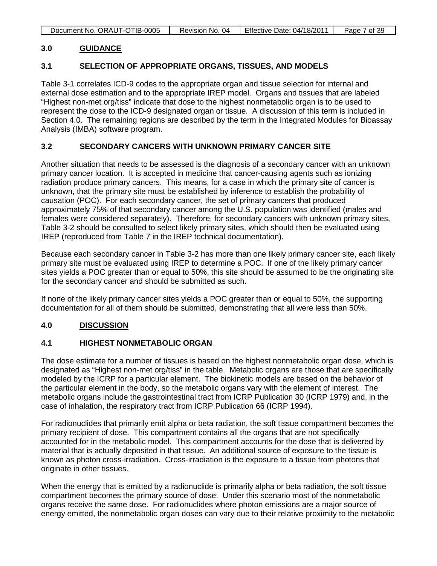| Document No. ORAUT-OTIB-0005 | Revision No. 04 | Effective Date: 04/18/2011 | Page 7 of 39 |
|------------------------------|-----------------|----------------------------|--------------|

#### **3.0 GUIDANCE**

#### **3.1 SELECTION OF APPROPRIATE ORGANS, TISSUES, AND MODELS**

Table 3-1 correlates ICD-9 codes to the appropriate organ and tissue selection for internal and external dose estimation and to the appropriate IREP model. Organs and tissues that are labeled "Highest non-met org/tiss" indicate that dose to the highest nonmetabolic organ is to be used to represent the dose to the ICD-9 designated organ or tissue. A discussion of this term is included in Section 4.0. The remaining regions are described by the term in the Integrated Modules for Bioassay Analysis (IMBA) software program.

#### **3.2 SECONDARY CANCERS WITH UNKNOWN PRIMARY CANCER SITE**

Another situation that needs to be assessed is the diagnosis of a secondary cancer with an unknown primary cancer location. It is accepted in medicine that cancer-causing agents such as ionizing radiation produce primary cancers. This means, for a case in which the primary site of cancer is unknown, that the primary site must be established by inference to establish the probability of causation (POC). For each secondary cancer, the set of primary cancers that produced approximately 75% of that secondary cancer among the U.S. population was identified (males and females were considered separately). Therefore, for secondary cancers with unknown primary sites, Table 3-2 should be consulted to select likely primary sites, which should then be evaluated using IREP (reproduced from Table 7 in the IREP technical documentation).

Because each secondary cancer in Table 3-2 has more than one likely primary cancer site, each likely primary site must be evaluated using IREP to determine a POC. If one of the likely primary cancer sites yields a POC greater than or equal to 50%, this site should be assumed to be the originating site for the secondary cancer and should be submitted as such.

If none of the likely primary cancer sites yields a POC greater than or equal to 50%, the supporting documentation for all of them should be submitted, demonstrating that all were less than 50%.

#### **4.0 DISCUSSION**

#### **4.1 HIGHEST NONMETABOLIC ORGAN**

The dose estimate for a number of tissues is based on the highest nonmetabolic organ dose, which is designated as "Highest non-met org/tiss" in the table. Metabolic organs are those that are specifically modeled by the ICRP for a particular element. The biokinetic models are based on the behavior of the particular element in the body, so the metabolic organs vary with the element of interest. The metabolic organs include the gastrointestinal tract from ICRP Publication 30 (ICRP 1979) and, in the case of inhalation, the respiratory tract from ICRP Publication 66 (ICRP 1994).

For radionuclides that primarily emit alpha or beta radiation, the soft tissue compartment becomes the primary recipient of dose. This compartment contains all the organs that are not specifically accounted for in the metabolic model. This compartment accounts for the dose that is delivered by material that is actually deposited in that tissue. An additional source of exposure to the tissue is known as photon cross-irradiation. Cross-irradiation is the exposure to a tissue from photons that originate in other tissues.

When the energy that is emitted by a radionuclide is primarily alpha or beta radiation, the soft tissue compartment becomes the primary source of dose. Under this scenario most of the nonmetabolic organs receive the same dose. For radionuclides where photon emissions are a major source of energy emitted, the nonmetabolic organ doses can vary due to their relative proximity to the metabolic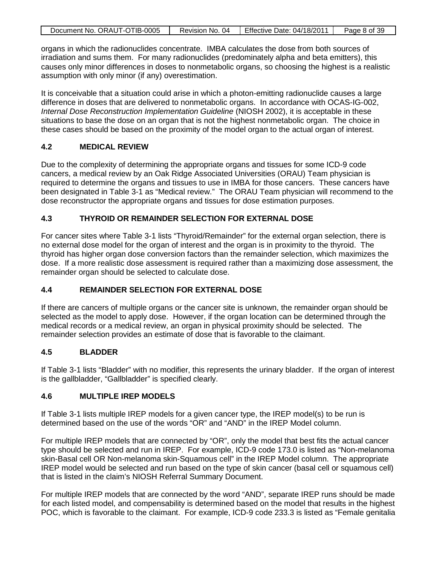| Document No. ORAUT-OTIB-0005 | Revision No. 04 | Effective Date: 04/18/2011 | Page 8 of 39 |
|------------------------------|-----------------|----------------------------|--------------|

organs in which the radionuclides concentrate. IMBA calculates the dose from both sources of irradiation and sums them. For many radionuclides (predominately alpha and beta emitters), this causes only minor differences in doses to nonmetabolic organs, so choosing the highest is a realistic assumption with only minor (if any) overestimation.

It is conceivable that a situation could arise in which a photon-emitting radionuclide causes a large difference in doses that are delivered to nonmetabolic organs. In accordance with OCAS-IG-002, *Internal Dose Reconstruction Implementation Guideline* (NIOSH 2002), it is acceptable in these situations to base the dose on an organ that is not the highest nonmetabolic organ. The choice in these cases should be based on the proximity of the model organ to the actual organ of interest.

## **4.2 MEDICAL REVIEW**

Due to the complexity of determining the appropriate organs and tissues for some ICD-9 code cancers, a medical review by an Oak Ridge Associated Universities (ORAU) Team physician is required to determine the organs and tissues to use in IMBA for those cancers. These cancers have been designated in Table 3-1 as "Medical review." The ORAU Team physician will recommend to the dose reconstructor the appropriate organs and tissues for dose estimation purposes.

## **4.3 THYROID OR REMAINDER SELECTION FOR EXTERNAL DOSE**

For cancer sites where Table 3-1 lists "Thyroid/Remainder" for the external organ selection, there is no external dose model for the organ of interest and the organ is in proximity to the thyroid. The thyroid has higher organ dose conversion factors than the remainder selection, which maximizes the dose. If a more realistic dose assessment is required rather than a maximizing dose assessment, the remainder organ should be selected to calculate dose.

## **4.4 REMAINDER SELECTION FOR EXTERNAL DOSE**

If there are cancers of multiple organs or the cancer site is unknown, the remainder organ should be selected as the model to apply dose. However, if the organ location can be determined through the medical records or a medical review, an organ in physical proximity should be selected. The remainder selection provides an estimate of dose that is favorable to the claimant.

## **4.5 BLADDER**

If Table 3-1 lists "Bladder" with no modifier, this represents the urinary bladder. If the organ of interest is the gallbladder, "Gallbladder" is specified clearly.

## **4.6 MULTIPLE IREP MODELS**

If Table 3-1 lists multiple IREP models for a given cancer type, the IREP model(s) to be run is determined based on the use of the words "OR" and "AND" in the IREP Model column.

For multiple IREP models that are connected by "OR", only the model that best fits the actual cancer type should be selected and run in IREP. For example, ICD-9 code 173.0 is listed as "Non-melanoma skin-Basal cell OR Non-melanoma skin-Squamous cell" in the IREP Model column. The appropriate IREP model would be selected and run based on the type of skin cancer (basal cell or squamous cell) that is listed in the claim's NIOSH Referral Summary Document.

For multiple IREP models that are connected by the word "AND", separate IREP runs should be made for each listed model, and compensability is determined based on the model that results in the highest POC, which is favorable to the claimant. For example, ICD-9 code 233.3 is listed as "Female genitalia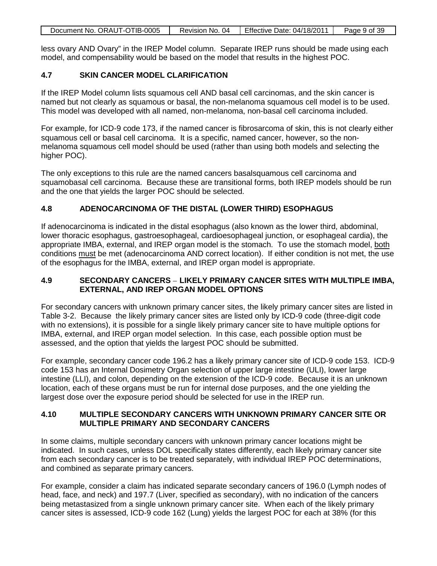| Document No. ORAUT-OTIB-0005 | Revision No. 04 | Effective Date: 04/18/2011 | Page 9 of 39 |
|------------------------------|-----------------|----------------------------|--------------|
|                              |                 |                            |              |

less ovary AND Ovary" in the IREP Model column. Separate IREP runs should be made using each model, and compensability would be based on the model that results in the highest POC.

### **4.7 SKIN CANCER MODEL CLARIFICATION**

If the IREP Model column lists squamous cell AND basal cell carcinomas, and the skin cancer is named but not clearly as squamous or basal, the non-melanoma squamous cell model is to be used. This model was developed with all named, non-melanoma, non-basal cell carcinoma included.

For example, for ICD-9 code 173, if the named cancer is fibrosarcoma of skin, this is not clearly either squamous cell or basal cell carcinoma. It is a specific, named cancer, however, so the nonmelanoma squamous cell model should be used (rather than using both models and selecting the higher POC).

The only exceptions to this rule are the named cancers basalsquamous cell carcinoma and squamobasal cell carcinoma. Because these are transitional forms, both IREP models should be run and the one that yields the larger POC should be selected.

### **4.8 ADENOCARCINOMA OF THE DISTAL (LOWER THIRD) ESOPHAGUS**

If adenocarcinoma is indicated in the distal esophagus (also known as the lower third, abdominal, lower thoracic esophagus, gastroesophageal, cardioesophageal junction, or esophageal cardia), the appropriate IMBA, external, and IREP organ model is the stomach. To use the stomach model, both conditions must be met (adenocarcinoma AND correct location). If either condition is not met, the use of the esophagus for the IMBA, external, and IREP organ model is appropriate.

### **4.9 SECONDARY CANCERS** – **LIKELY PRIMARY CANCER SITES WITH MULTIPLE IMBA, EXTERNAL, AND IREP ORGAN MODEL OPTIONS**

For secondary cancers with unknown primary cancer sites, the likely primary cancer sites are listed in Table 3-2. Because the likely primary cancer sites are listed only by ICD-9 code (three-digit code with no extensions), it is possible for a single likely primary cancer site to have multiple options for IMBA, external, and IREP organ model selection. In this case, each possible option must be assessed, and the option that yields the largest POC should be submitted.

For example, secondary cancer code 196.2 has a likely primary cancer site of ICD-9 code 153. ICD-9 code 153 has an Internal Dosimetry Organ selection of upper large intestine (ULI), lower large intestine (LLI), and colon, depending on the extension of the ICD-9 code. Because it is an unknown location, each of these organs must be run for internal dose purposes, and the one yielding the largest dose over the exposure period should be selected for use in the IREP run.

### **4.10 MULTIPLE SECONDARY CANCERS WITH UNKNOWN PRIMARY CANCER SITE OR MULTIPLE PRIMARY AND SECONDARY CANCERS**

In some claims, multiple secondary cancers with unknown primary cancer locations might be indicated. In such cases, unless DOL specifically states differently, each likely primary cancer site from each secondary cancer is to be treated separately, with individual IREP POC determinations, and combined as separate primary cancers.

For example, consider a claim has indicated separate secondary cancers of 196.0 (Lymph nodes of head, face, and neck) and 197.7 (Liver, specified as secondary), with no indication of the cancers being metastasized from a single unknown primary cancer site. When each of the likely primary cancer sites is assessed, ICD-9 code 162 (Lung) yields the largest POC for each at 38% (for this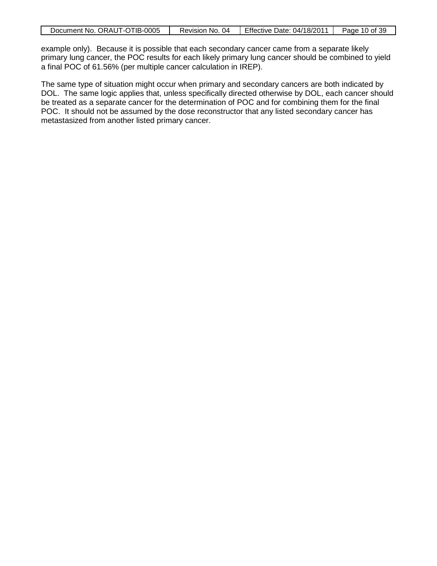| Document No. ORAUT-OTIB-0005 | Revision No. 04 | <b>Effective Date: 04/18/2011</b> | Page 10 of 39 |
|------------------------------|-----------------|-----------------------------------|---------------|
|                              |                 |                                   |               |

example only). Because it is possible that each secondary cancer came from a separate likely primary lung cancer, the POC results for each likely primary lung cancer should be combined to yield a final POC of 61.56% (per multiple cancer calculation in IREP).

The same type of situation might occur when primary and secondary cancers are both indicated by DOL. The same logic applies that, unless specifically directed otherwise by DOL, each cancer should be treated as a separate cancer for the determination of POC and for combining them for the final POC. It should not be assumed by the dose reconstructor that any listed secondary cancer has metastasized from another listed primary cancer.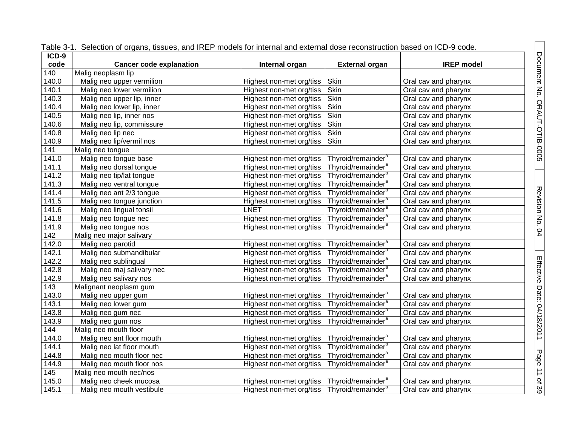| $ICD-9$ | ו מטוט ט־ו. "סטוטטוטורטו טוקמוזט, ווסטעטט, מוזע ורגבר וווטעטט וטרווועורומו מוזע טגעטוומו עטטט וטטטוטורעטווער טמט |                                                           |                                |                      |
|---------|------------------------------------------------------------------------------------------------------------------|-----------------------------------------------------------|--------------------------------|----------------------|
| code    | <b>Cancer code explanation</b>                                                                                   | Internal organ                                            | <b>External organ</b>          | <b>IREP</b> model    |
| 140     | Malig neoplasm lip                                                                                               |                                                           |                                |                      |
| 140.0   | Malig neo upper vermilion                                                                                        | Highest non-met org/tiss                                  | Skin                           | Oral cav and pharynx |
| 140.1   | Malig neo lower vermilion                                                                                        | Highest non-met org/tiss                                  | Skin                           | Oral cav and pharynx |
| 140.3   | Malig neo upper lip, inner                                                                                       | Highest non-met org/tiss                                  | Skin                           | Oral cav and pharynx |
| 140.4   | Malig neo lower lip, inner                                                                                       | Highest non-met org/tiss                                  | Skin                           | Oral cav and pharynx |
| 140.5   | Malig neo lip, inner nos                                                                                         | Highest non-met org/tiss                                  | Skin                           | Oral cav and pharynx |
| 140.6   | Malig neo lip, commissure                                                                                        | Highest non-met org/tiss                                  | Skin                           | Oral cav and pharynx |
| 140.8   | Malig neo lip nec                                                                                                | Highest non-met org/tiss                                  | Skin                           | Oral cav and pharynx |
| 140.9   | Malig neo lip/vermil nos                                                                                         | Highest non-met org/tiss                                  | Skin                           | Oral cav and pharynx |
| 141     | Malig neo tongue                                                                                                 |                                                           |                                |                      |
| 141.0   | Malig neo tongue base                                                                                            | Highest non-met org/tiss                                  | Thyroid/remainder <sup>a</sup> | Oral cav and pharynx |
| 141.1   | Malig neo dorsal tongue                                                                                          | Highest non-met org/tiss                                  | Thyroid/remainder <sup>a</sup> | Oral cav and pharynx |
| 141.2   | Malig neo tip/lat tongue                                                                                         | Highest non-met org/tiss                                  | Thyroid/remainder <sup>a</sup> | Oral cav and pharynx |
| 141.3   | Malig neo ventral tongue                                                                                         | Highest non-met org/tiss                                  | Thyroid/remainder <sup>a</sup> | Oral cav and pharynx |
| 141.4   | Malig neo ant 2/3 tongue                                                                                         | Highest non-met org/tiss                                  | Thyroid/remainder <sup>a</sup> | Oral cav and pharynx |
| 141.5   | Malig neo tongue junction                                                                                        | Highest non-met org/tiss                                  | Thyroid/remainder <sup>a</sup> | Oral cav and pharynx |
| 141.6   | Malig neo lingual tonsil                                                                                         | <b>LNET</b>                                               | Thyroid/remainder <sup>a</sup> | Oral cav and pharynx |
| 141.8   | Malig neo tongue nec                                                                                             | Highest non-met org/tiss                                  | Thyroid/remainder <sup>a</sup> | Oral cav and pharynx |
| 141.9   | Malig neo tongue nos                                                                                             | Highest non-met org/tiss                                  | Thyroid/remainder <sup>a</sup> | Oral cav and pharynx |
| 142     | Malig neo major salivary                                                                                         |                                                           |                                |                      |
| 142.0   | Malig neo parotid                                                                                                | Highest non-met org/tiss                                  | Thyroid/remainder <sup>a</sup> | Oral cav and pharynx |
| 142.1   | Malig neo submandibular                                                                                          | Highest non-met org/tiss                                  | Thyroid/remainder <sup>a</sup> | Oral cav and pharynx |
| 142.2   | Malig neo sublingual                                                                                             | Highest non-met org/tiss                                  | Thyroid/remainder <sup>a</sup> | Oral cav and pharynx |
| 142.8   | Malig neo maj salivary nec                                                                                       | Highest non-met org/tiss                                  | Thyroid/remainder <sup>a</sup> | Oral cav and pharynx |
| 142.9   | Malig neo salivary nos                                                                                           | Highest non-met org/tiss                                  | Thyroid/remainder <sup>a</sup> | Oral cav and pharynx |
| 143     | Malignant neoplasm gum                                                                                           |                                                           |                                |                      |
| 143.0   | Malig neo upper gum                                                                                              | Highest non-met org/tiss                                  | Thyroid/remainder <sup>a</sup> | Oral cav and pharynx |
| 143.1   | Malig neo lower gum                                                                                              | Highest non-met org/tiss                                  | Thyroid/remainder <sup>a</sup> | Oral cav and pharynx |
| 143.8   | Malig neo gum nec                                                                                                | Highest non-met org/tiss                                  | Thyroid/remainder <sup>a</sup> | Oral cav and pharynx |
| 143.9   | Malig neo gum nos                                                                                                | Highest non-met org/tiss                                  | Thyroid/remainder <sup>a</sup> | Oral cav and pharynx |
| 144     | Malig neo mouth floor                                                                                            |                                                           |                                |                      |
| 144.0   | Malig neo ant floor mouth                                                                                        | Highest non-met org/tiss                                  | Thyroid/remainder <sup>a</sup> | Oral cav and pharynx |
| 144.1   | Malig neo lat floor mouth                                                                                        | Highest non-met org/tiss                                  | Thyroid/remainder <sup>a</sup> | Oral cav and pharynx |
| 144.8   | Malig neo mouth floor nec                                                                                        | Highest non-met org/tiss                                  | Thyroid/remainder <sup>a</sup> | Oral cav and pharynx |
| 144.9   | Malig neo mouth floor nos                                                                                        | Highest non-met org/tiss                                  | Thyroid/remainder <sup>a</sup> | Oral cav and pharynx |
| 145     | Malig neo mouth nec/nos                                                                                          |                                                           |                                |                      |
| 145.0   | Malig neo cheek mucosa                                                                                           | Highest non-met org/tiss   Thyroid/remainder <sup>a</sup> |                                | Oral cav and pharynx |
| 145.1   | Malig neo mouth vestibule                                                                                        | Highest non-met org/tiss   Thyroid/remainder <sup>a</sup> |                                | Oral cav and pharynx |

|  |  | Table 3-1. Selection of organs, tissues, and IREP models for internal and external dose reconstruction based on ICD-9 code. |  |
|--|--|-----------------------------------------------------------------------------------------------------------------------------|--|
|  |  |                                                                                                                             |  |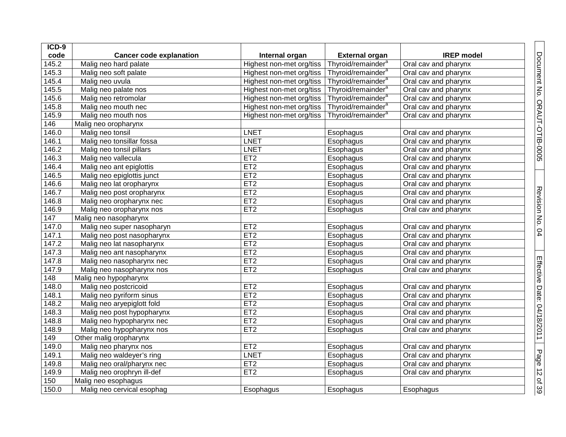| ICD-9             |                                |                          |                                |                      |
|-------------------|--------------------------------|--------------------------|--------------------------------|----------------------|
| code              | <b>Cancer code explanation</b> | Internal organ           | <b>External organ</b>          | <b>IREP</b> model    |
| 145.2             | Malig neo hard palate          | Highest non-met org/tiss | Thyroid/remainder <sup>a</sup> | Oral cav and pharynx |
| 145.3             | Malig neo soft palate          | Highest non-met org/tiss | Thyroid/remainder <sup>a</sup> | Oral cav and pharynx |
| 145.4             | Malig neo uvula                | Highest non-met org/tiss | Thyroid/remainder <sup>a</sup> | Oral cav and pharynx |
| 145.5             | Malig neo palate nos           | Highest non-met org/tiss | Thyroid/remainder <sup>a</sup> | Oral cav and pharynx |
| 145.6             | Malig neo retromolar           | Highest non-met org/tiss | Thyroid/remainder <sup>a</sup> | Oral cav and pharynx |
| 145.8             | Malig neo mouth nec            | Highest non-met org/tiss | Thyroid/remainder <sup>a</sup> | Oral cav and pharynx |
| 145.9             | Malig neo mouth nos            | Highest non-met org/tiss | Thyroid/remainder <sup>a</sup> | Oral cav and pharynx |
| 146               | Malig neo oropharynx           |                          |                                |                      |
| 146.0             | Malig neo tonsil               | <b>LNET</b>              | Esophagus                      | Oral cav and pharynx |
| 146.1             | Malig neo tonsillar fossa      | <b>LNET</b>              | Esophagus                      | Oral cav and pharynx |
| 146.2             | Malig neo tonsil pillars       | <b>LNET</b>              | Esophagus                      | Oral cav and pharynx |
| 146.3             | Malig neo vallecula            | ET2                      | Esophagus                      | Oral cav and pharynx |
| 146.4             | Malig neo ant epiglottis       | ET2                      | Esophagus                      | Oral cav and pharynx |
| 146.5             | Malig neo epiglottis junct     | ET <sub>2</sub>          | Esophagus                      | Oral cav and pharynx |
| 146.6             | Malig neo lat oropharynx       | ET2                      | Esophagus                      | Oral cav and pharynx |
| 146.7             | Malig neo post oropharynx      | ET2                      | Esophagus                      | Oral cav and pharynx |
| 146.8             | Malig neo oropharynx nec       | ET2                      | Esophagus                      | Oral cav and pharynx |
| 146.9             | Malig neo oropharynx nos       | ET2                      | Esophagus                      | Oral cav and pharynx |
| $\frac{147}{147}$ | Malig neo nasopharynx          |                          |                                |                      |
| 147.0             | Malig neo super nasopharyn     | ET <sub>2</sub>          | Esophagus                      | Oral cav and pharynx |
| 147.1             | Malig neo post nasopharynx     | ET <sub>2</sub>          | Esophagus                      | Oral cav and pharynx |
| 147.2             | Malig neo lat nasopharynx      | ET2                      | Esophagus                      | Oral cav and pharynx |
| 147.3             | Malig neo ant nasopharynx      | ET2                      | Esophagus                      | Oral cav and pharynx |
| 147.8             | Malig neo nasopharynx nec      | ET <sub>2</sub>          | Esophagus                      | Oral cav and pharynx |
| 147.9             | Malig neo nasopharynx nos      | ET <sub>2</sub>          | Esophagus                      | Oral cav and pharynx |
| 148               | Malig neo hypopharynx          |                          |                                |                      |
| 148.0             | Malig neo postcricoid          | ET2                      | Esophagus                      | Oral cav and pharynx |
| 148.1             | Malig neo pyriform sinus       | ET2                      | Esophagus                      | Oral cav and pharynx |
| 148.2             | Malig neo aryepiglott fold     | ET2                      | Esophagus                      | Oral cav and pharynx |
| 148.3             | Malig neo post hypopharynx     | ET2                      | Esophagus                      | Oral cav and pharynx |
| 148.8             | Malig neo hypopharynx nec      | ET2                      | Esophagus                      | Oral cav and pharynx |
| 148.9             | Malig neo hypopharynx nos      | ET2                      | Esophagus                      | Oral cav and pharynx |
| 149               | Other malig oropharynx         |                          |                                |                      |
| 149.0             | Malig neo pharynx nos          | ET2                      | Esophagus                      | Oral cav and pharynx |
| 149.1             | Malig neo waldeyer's ring      | <b>LNET</b>              | Esophagus                      | Oral cav and pharynx |
| 149.8             | Malig neo oral/pharynx nec     | ET <sub>2</sub>          | Esophagus                      | Oral cav and pharynx |
| 149.9             | Malig neo orophryn ill-def     | ET <sub>2</sub>          | Esophagus                      | Oral cav and pharynx |
| 150               | Malig neo esophagus            |                          |                                |                      |
| 150.0             | Malig neo cervical esophag     | Esophagus                | Esophagus                      | Esophagus            |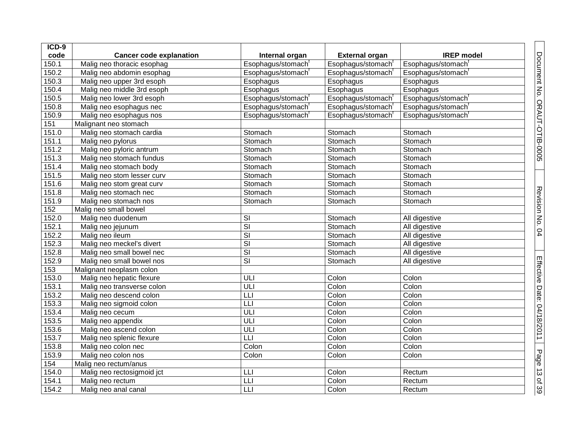| ICD-9              |                                |                          |                                |                   |
|--------------------|--------------------------------|--------------------------|--------------------------------|-------------------|
| code               | <b>Cancer code explanation</b> | Internal organ           | <b>External organ</b>          | <b>IREP</b> model |
| 150.1              | Malig neo thoracic esophag     | Esophagus/stomach        | Esophagus/stomach              | Esophagus/stomach |
| $150.\overline{2}$ | Malig neo abdomin esophag      | Esophagus/stomach        | Esophagus/stomach <sup>t</sup> | Esophagus/stomach |
| 150.3              | Malig neo upper 3rd esoph      | Esophagus                | Esophagus                      | Esophagus         |
| 150.4              | Malig neo middle 3rd esoph     | Esophagus                | Esophagus                      | Esophagus         |
| 150.5              | Malig neo lower 3rd esoph      | Esophagus/stomach        | Esophagus/stomach              | Esophagus/stomach |
| 150.8              | Malig neo esophagus nec        | Esophagus/stomach        | Esophagus/stomach              | Esophagus/stomach |
| 150.9              | Malig neo esophagus nos        | Esophagus/stomach        | Esophagus/stomach <sup>t</sup> | Esophagus/stomach |
| 151                | Malignant neo stomach          |                          |                                |                   |
| 151.0              | Malig neo stomach cardia       | Stomach                  | Stomach                        | Stomach           |
| 151.1              | Malig neo pylorus              | Stomach                  | Stomach                        | Stomach           |
| 151.2              | Malig neo pyloric antrum       | Stomach                  | Stomach                        | Stomach           |
| $151.\overline{3}$ | Malig neo stomach fundus       | Stomach                  | Stomach                        | Stomach           |
| 151.4              | Malig neo stomach body         | Stomach                  | Stomach                        | Stomach           |
| 151.5              | Malig neo stom lesser curv     | Stomach                  | Stomach                        | Stomach           |
| 151.6              | Malig neo stom great curv      | Stomach                  | Stomach                        | Stomach           |
| 151.8              | Malig neo stomach nec          | Stomach                  | Stomach                        | Stomach           |
| 151.9              | Malig neo stomach nos          | Stomach                  | Stomach                        | Stomach           |
| 152                | Malig neo small bowel          |                          |                                |                   |
| 152.0              | Malig neo duodenum             | $\overline{\mathsf{S}}$  | Stomach                        | All digestive     |
| 152.1              | Malig neo jejunum              | $\overline{\mathsf{SI}}$ | Stomach                        | All digestive     |
| 152.2              | Malig neo ileum                | $\overline{\mathsf{SI}}$ | Stomach                        | All digestive     |
| 152.3              | Malig neo meckel's divert      | $\overline{\mathsf{SI}}$ | Stomach                        | All digestive     |
| 152.8              | Malig neo small bowel nec      | $\overline{\mathsf{SI}}$ | Stomach                        | All digestive     |
| 152.9              | Malig neo small bowel nos      | $\overline{\mathsf{SI}}$ | Stomach                        | All digestive     |
| 153                | Malignant neoplasm colon       |                          |                                |                   |
| 153.0              | Malig neo hepatic flexure      | ULI                      | Colon                          | Colon             |
| 153.1              | Malig neo transverse colon     | ULI                      | Colon                          | Colon             |
| 153.2              | Malig neo descend colon        | LLI                      | Colon                          | Colon             |
| 153.3              | Malig neo sigmoid colon        | LLI                      | Colon                          | Colon             |
| 153.4              | Malig neo cecum                | $\overline{UL}$          | Colon                          | Colon             |
| 153.5              | Malig neo appendix             | ULI                      | Colon                          | Colon             |
| 153.6              | Malig neo ascend colon         | $\overline{UL}$          | Colon                          | Colon             |
| 153.7              | Malig neo splenic flexure      | $\overline{L}$           | Colon                          | Colon             |
| 153.8              | Malig neo colon nec            | Colon                    | Colon                          | Colon             |
| 153.9              | Malig neo colon nos            | Colon                    | Colon                          | Colon             |
| 154                | Malig neo rectum/anus          |                          |                                |                   |
| 154.0              | Malig neo rectosigmoid jct     | LLI                      | Colon                          | Rectum            |
| 154.1              | Malig neo rectum               | LLI                      | Colon                          | Rectum            |
| 154.2              | Malig neo anal canal           | LLI                      | Colon                          | Rectum            |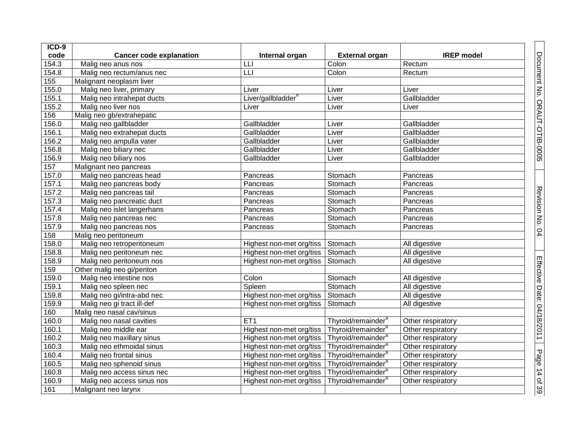| ICD-9 |                                |                                |                                |                   |
|-------|--------------------------------|--------------------------------|--------------------------------|-------------------|
| code  | <b>Cancer code explanation</b> | Internal organ                 | <b>External organ</b>          | <b>IREP</b> model |
| 154.3 | Malig neo anus nos             | LLI                            | Colon                          | Rectum            |
| 154.8 | Malig neo rectum/anus nec      | L                              | Colon                          | Rectum            |
| 155   | Malignant neoplasm liver       |                                |                                |                   |
| 155.0 | Malig neo liver, primary       | Liver                          | Liver                          | Liver             |
| 155.1 | Malig neo intrahepat ducts     | Liver/gallbladder <sup>h</sup> | Liver                          | Gallbladder       |
| 155.2 | Malig neo liver nos            | Liver                          | Liver                          | Liver             |
| 156   | Malig neo gb/extrahepatic      |                                |                                |                   |
| 156.0 | Malig neo gallbladder          | Gallbladder                    | Liver                          | Gallbladder       |
| 156.1 | Malig neo extrahepat ducts     | Gallbladder                    | Liver                          | Gallbladder       |
| 156.2 | Malig neo ampulla vater        | Gallbladder                    | Liver                          | Gallbladder       |
| 156.8 | Malig neo biliary nec          | Gallbladder                    | Liver                          | Gallbladder       |
| 156.9 | Malig neo biliary nos          | Gallbladder                    | Liver                          | Gallbladder       |
| 157   | Malignant neo pancreas         |                                |                                |                   |
| 157.0 | Malig neo pancreas head        | Pancreas                       | Stomach                        | Pancreas          |
| 157.1 | Malig neo pancreas body        | Pancreas                       | Stomach                        | Pancreas          |
| 157.2 | Malig neo pancreas tail        | Pancreas                       | Stomach                        | Pancreas          |
| 157.3 | Malig neo pancreatic duct      | Pancreas                       | Stomach                        | Pancreas          |
| 157.4 | Malig neo islet langerhans     | Pancreas                       | Stomach                        | Pancreas          |
| 157.8 | Malig neo pancreas nec         | Pancreas                       | Stomach                        | Pancreas          |
| 157.9 | Malig neo pancreas nos         | Pancreas                       | Stomach                        | Pancreas          |
| 158   | Malig neo peritoneum           |                                |                                |                   |
| 158.0 | Malig neo retroperitoneum      | Highest non-met org/tiss       | Stomach                        | All digestive     |
| 158.8 | Malig neo peritoneum nec       | Highest non-met org/tiss       | Stomach                        | All digestive     |
| 158.9 | Malig neo peritoneum nos       | Highest non-met org/tiss       | Stomach                        | All digestive     |
| 159   | Other malig neo gi/periton     |                                |                                |                   |
| 159.0 | Malig neo intestine nos        | Colon                          | Stomach                        | All digestive     |
| 159.1 | Malig neo spleen nec           | Spleen                         | Stomach                        | All digestive     |
| 159.8 | Malig neo gi/intra-abd nec     | Highest non-met org/tiss       | Stomach                        | All digestive     |
| 159.9 | Malig neo gi tract ill-def     | Highest non-met org/tiss       | Stomach                        | All digestive     |
| 160   | Malig neo nasal cav/sinus      |                                |                                |                   |
| 160.0 | Malig neo nasal cavities       | ET <sub>1</sub>                | Thyroid/remainder <sup>a</sup> | Other respiratory |
| 160.1 | Malig neo middle ear           | Highest non-met org/tiss       | Thyroid/remainder <sup>a</sup> | Other respiratory |
| 160.2 | Malig neo maxillary sinus      | Highest non-met org/tiss       | Thyroid/remainder <sup>a</sup> | Other respiratory |
| 160.3 | Malig neo ethmoidal sinus      | Highest non-met org/tiss       | Thyroid/remainder <sup>a</sup> | Other respiratory |
| 160.4 | Malig neo frontal sinus        | Highest non-met org/tiss       | Thyroid/remainder <sup>a</sup> | Other respiratory |
| 160.5 | Malig neo sphenoid sinus       | Highest non-met org/tiss       | Thyroid/remainder <sup>a</sup> | Other respiratory |
| 160.8 | Malig neo access sinus nec     | Highest non-met org/tiss       | Thyroid/remainder <sup>a</sup> | Other respiratory |
| 160.9 | Malig neo access sinus nos     | Highest non-met org/tiss       | Thyroid/remainder <sup>a</sup> | Other respiratory |
| 161   | Malignant neo larynx           |                                |                                |                   |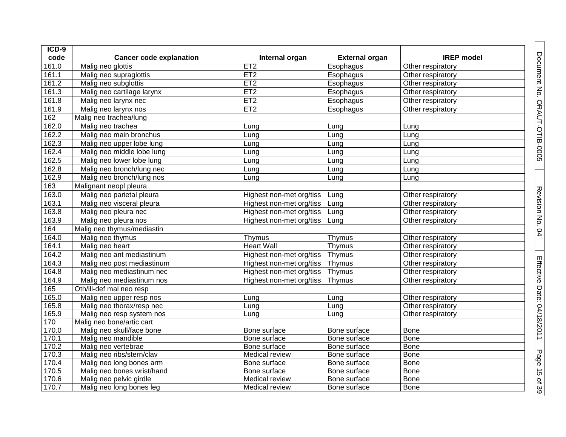| $ICD-9$            |                                |                          |                       |                   |  |
|--------------------|--------------------------------|--------------------------|-----------------------|-------------------|--|
| code               | <b>Cancer code explanation</b> | Internal organ           | <b>External organ</b> | <b>IREP</b> model |  |
| 161.0              | Malig neo glottis              | ET2                      | Esophagus             | Other respiratory |  |
| 161.1              | Malig neo supraglottis         | ET2                      | Esophagus             | Other respiratory |  |
| 161.2              | Malig neo subglottis           | ET2                      | Esophagus             | Other respiratory |  |
| 161.3              | Malig neo cartilage larynx     | ET2                      | Esophagus             | Other respiratory |  |
| $161.\overline{8}$ | Malig neo larynx nec           | ET2                      | Esophagus             | Other respiratory |  |
| 161.9              | Malig neo larynx nos           | ET2                      | Esophagus             | Other respiratory |  |
| 162                | Malig neo trachea/lung         |                          |                       |                   |  |
| 162.0              | Malig neo trachea              | Lung                     | Lung                  | Lung              |  |
| 162.2              | Malig neo main bronchus        | Lung                     | Lung                  | Lung              |  |
| 162.3              | Malig neo upper lobe lung      | Lung                     | Lung                  | Lung              |  |
| 162.4              | Malig neo middle lobe lung     | Lung                     | Lung                  | Lung              |  |
| 162.5              | Malig neo lower lobe lung      | Lung                     | Lung                  | Lung              |  |
| 162.8              | Malig neo bronch/lung nec      | Lung                     | Lung                  | Lung              |  |
| 162.9              | Malig neo bronch/lung nos      | Lung                     | Lung                  | Lung              |  |
| 163                | Malignant neopl pleura         |                          |                       |                   |  |
| 163.0              | Malig neo parietal pleura      | Highest non-met org/tiss | Lung                  | Other respiratory |  |
| 163.1              | Malig neo visceral pleura      | Highest non-met org/tiss | Lung                  | Other respiratory |  |
| 163.8              | Malig neo pleura nec           | Highest non-met org/tiss | Lung                  | Other respiratory |  |
| 163.9              | Malig neo pleura nos           | Highest non-met org/tiss | Lung                  | Other respiratory |  |
| 164                | Malig neo thymus/mediastin     |                          |                       |                   |  |
| 164.0              | Malig neo thymus               | Thymus                   | Thymus                | Other respiratory |  |
| 164.1              | Malig neo heart                | <b>Heart Wall</b>        | Thymus                | Other respiratory |  |
| 164.2              | Malig neo ant mediastinum      | Highest non-met org/tiss | Thymus                | Other respiratory |  |
| 164.3              | Malig neo post mediastinum     | Highest non-met org/tiss | Thymus                | Other respiratory |  |
| 164.8              | Malig neo mediastinum nec      | Highest non-met org/tiss | Thymus                | Other respiratory |  |
| 164.9              | Malig neo mediastinum nos      | Highest non-met org/tiss | Thymus                | Other respiratory |  |
| 165                | Oth/ill-def mal neo resp       |                          |                       |                   |  |
| 165.0              | Malig neo upper resp nos       | Lung                     | Lung                  | Other respiratory |  |
| 165.8              | Malig neo thorax/resp nec      | Lung                     | Lung                  | Other respiratory |  |
| 165.9              | Malig neo resp system nos      | Lung                     | Lung                  | Other respiratory |  |
| 170                | Malig neo bone/artic cart      |                          |                       |                   |  |
| 170.0              | Malig neo skull/face bone      | Bone surface             | Bone surface          | <b>Bone</b>       |  |
| 170.1              | Malig neo mandible             | Bone surface             | Bone surface          | <b>Bone</b>       |  |
| 170.2              | Malig neo vertebrae            | Bone surface             | Bone surface          | <b>Bone</b>       |  |
| 170.3              | Malig neo ribs/stern/clav      | Medical review           | Bone surface          | <b>Bone</b>       |  |
| 170.4              | Malig neo long bones arm       | Bone surface             | Bone surface          | <b>Bone</b>       |  |
| 170.5              | Malig neo bones wrist/hand     | Bone surface             | Bone surface          | <b>Bone</b>       |  |
| 170.6              | Malig neo pelvic girdle        | Medical review           | Bone surface          | <b>Bone</b>       |  |
| 170.7              | Malig neo long bones leg       | Medical review           | Bone surface          | Bone              |  |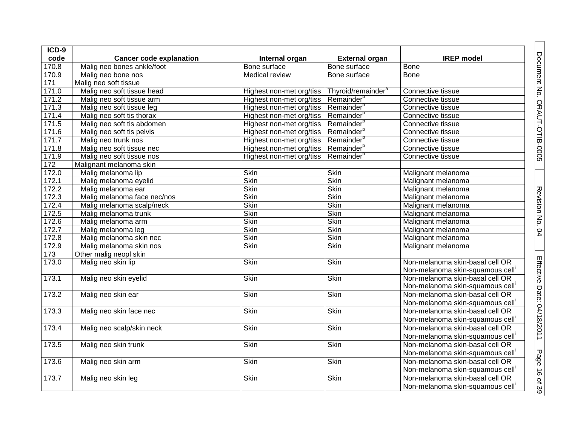| $ICD-9$          |                                |                                                   |                                |                                                                     |
|------------------|--------------------------------|---------------------------------------------------|--------------------------------|---------------------------------------------------------------------|
| code             | <b>Cancer code explanation</b> | Internal organ                                    | <b>External organ</b>          | <b>IREP</b> model                                                   |
| 170.8            | Malig neo bones ankle/foot     | Bone surface                                      | Bone surface                   | <b>Bone</b>                                                         |
| 170.9            | Malig neo bone nos             | Medical review                                    | Bone surface                   | <b>Bone</b>                                                         |
| $\overline{171}$ | Malig neo soft tissue          |                                                   |                                |                                                                     |
| 171.0            | Malig neo soft tissue head     | Highest non-met org/tiss                          | Thyroid/remainder <sup>a</sup> | Connective tissue                                                   |
| 171.2            | Malig neo soft tissue arm      | Highest non-met org/tiss   Remainder <sup>b</sup> |                                | Connective tissue                                                   |
| 171.3            | Malig neo soft tissue leg      | Highest non-met org/tiss   Remainder <sup>b</sup> |                                | Connective tissue                                                   |
| 171.4            | Malig neo soft tis thorax      | Highest non-met org/tiss   Remainder <sup>b</sup> |                                | Connective tissue                                                   |
| 171.5            | Malig neo soft tis abdomen     | Highest non-met org/tiss   Remainder <sup>b</sup> |                                | Connective tissue                                                   |
| 171.6            | Malig neo soft tis pelvis      | Highest non-met org/tiss   Remainder <sup>b</sup> |                                | Connective tissue                                                   |
| 171.7            | Malig neo trunk nos            | Highest non-met org/tiss   Remainder <sup>b</sup> |                                | Connective tissue                                                   |
| 171.8            | Malig neo soft tissue nec      | Highest non-met org/tiss   Remainder <sup>b</sup> |                                | Connective tissue                                                   |
| 171.9            | Malig neo soft tissue nos      | Highest non-met org/tiss                          | Remainder <sup>b</sup>         | Connective tissue                                                   |
| 172              | Malignant melanoma skin        |                                                   |                                |                                                                     |
| 172.0            | Malig melanoma lip             | <b>Skin</b>                                       | <b>Skin</b>                    | Malignant melanoma                                                  |
| 172.1            | Malig melanoma eyelid          | <b>Skin</b>                                       | <b>Skin</b>                    | Malignant melanoma                                                  |
| 172.2            | Malig melanoma ear             | Skin                                              | <b>Skin</b>                    | Malignant melanoma                                                  |
| 172.3            | Malig melanoma face nec/nos    | Skin                                              | Skin                           | Malignant melanoma                                                  |
| 172.4            | Malig melanoma scalp/neck      | <b>Skin</b>                                       | <b>Skin</b>                    | Malignant melanoma                                                  |
| 172.5            | Malig melanoma trunk           | Skin                                              | <b>Skin</b>                    | Malignant melanoma                                                  |
| 172.6            | Malig melanoma arm             | Skin                                              | Skin                           | Malignant melanoma                                                  |
| 172.7            | Malig melanoma leg             | <b>Skin</b>                                       | <b>Skin</b>                    | Malignant melanoma                                                  |
| 172.8            | Malig melanoma skin nec        | Skin                                              | <b>Skin</b>                    | Malignant melanoma                                                  |
| 172.9            | Malig melanoma skin nos        | <b>Skin</b>                                       | <b>Skin</b>                    | Malignant melanoma                                                  |
| $173$            | Other malig neopl skin         |                                                   |                                |                                                                     |
| 173.0            | Malig neo skin lip             | Skin                                              | <b>Skin</b>                    | Non-melanoma skin-basal cell OR<br>Non-melanoma skin-squamous cell' |
| 173.1            | Malig neo skin eyelid          | <b>Skin</b>                                       | <b>Skin</b>                    | Non-melanoma skin-basal cell OR<br>Non-melanoma skin-squamous cell' |
| 173.2            | Malig neo skin ear             | Skin                                              | Skin                           | Non-melanoma skin-basal cell OR<br>Non-melanoma skin-squamous cell' |
| 173.3            | Malig neo skin face nec        | Skin                                              | <b>Skin</b>                    | Non-melanoma skin-basal cell OR<br>Non-melanoma skin-squamous cell' |
| 173.4            | Malig neo scalp/skin neck      | Skin                                              | <b>Skin</b>                    | Non-melanoma skin-basal cell OR<br>Non-melanoma skin-squamous cell' |
| 173.5            | Malig neo skin trunk           | Skin                                              | <b>Skin</b>                    | Non-melanoma skin-basal cell OR<br>Non-melanoma skin-squamous cell' |
| 173.6            | Malig neo skin arm             | <b>Skin</b>                                       | <b>Skin</b>                    | Non-melanoma skin-basal cell OR<br>Non-melanoma skin-squamous cell' |
| 173.7            | Malig neo skin leg             | Skin                                              | Skin                           | Non-melanoma skin-basal cell OR<br>Non-melanoma skin-squamous cell' |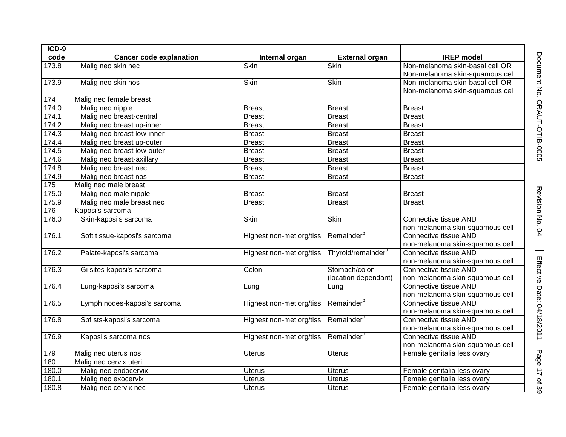| ICD-9             |                                |                          |                                |                                                          |
|-------------------|--------------------------------|--------------------------|--------------------------------|----------------------------------------------------------|
| code              | <b>Cancer code explanation</b> | Internal organ           | <b>External organ</b>          | <b>IREP</b> model                                        |
| 173.8             | Malig neo skin nec             | Skin                     | Skin                           | Non-melanoma skin-basal cell OR                          |
|                   |                                |                          |                                | Non-melanoma skin-squamous cell'                         |
| 173.9             | Malig neo skin nos             | Skin                     | Skin                           | Non-melanoma skin-basal cell OR                          |
|                   |                                |                          |                                | Non-melanoma skin-squamous cell'                         |
| 174               | Malig neo female breast        |                          |                                |                                                          |
| 174.0             | Malig neo nipple               | <b>Breast</b>            | <b>Breast</b>                  | <b>Breast</b>                                            |
| 174.1             | Malig neo breast-central       | <b>Breast</b>            | <b>Breast</b>                  | <b>Breast</b>                                            |
| 174.2             | Malig neo breast up-inner      | <b>Breast</b>            | <b>Breast</b>                  | <b>Breast</b>                                            |
| 174.3             | Malig neo breast low-inner     | <b>Breast</b>            | <b>Breast</b>                  | <b>Breast</b>                                            |
| 174.4             | Malig neo breast up-outer      | <b>Breast</b>            | <b>Breast</b>                  | <b>Breast</b>                                            |
| 174.5             | Malig neo breast low-outer     | <b>Breast</b>            | <b>Breast</b>                  | <b>Breast</b>                                            |
| 174.6             | Malig neo breast-axillary      | <b>Breast</b>            | <b>Breast</b>                  | <b>Breast</b>                                            |
| 174.8             | Malig neo breast nec           | <b>Breast</b>            | <b>Breast</b>                  | <b>Breast</b>                                            |
| 174.9             | Malig neo breast nos           | <b>Breast</b>            | <b>Breast</b>                  | <b>Breast</b>                                            |
| $\frac{175}{175}$ | Malig neo male breast          |                          |                                |                                                          |
| 175.0             | Malig neo male nipple          | <b>Breast</b>            | <b>Breast</b>                  | <b>Breast</b>                                            |
| 175.9             | Malig neo male breast nec      | <b>Breast</b>            | <b>Breast</b>                  | <b>Breast</b>                                            |
| 176               | Kaposi's sarcoma               |                          |                                |                                                          |
| 176.0             | Skin-kaposi's sarcoma          | Skin                     | Skin                           | Connective tissue AND                                    |
|                   |                                |                          |                                | non-melanoma skin-squamous cell                          |
| 176.1             | Soft tissue-kaposi's sarcoma   | Highest non-met org/tiss | Remainder <sup>b</sup>         | Connective tissue AND                                    |
|                   |                                |                          |                                | non-melanoma skin-squamous cell                          |
| 176.2             | Palate-kaposi's sarcoma        | Highest non-met org/tiss | Thyroid/remainder <sup>a</sup> | <b>Connective tissue AND</b>                             |
|                   |                                |                          |                                | non-melanoma skin-squamous cell                          |
| 176.3             | Gi sites-kaposi's sarcoma      | Colon                    | Stomach/colon                  | Connective tissue AND                                    |
|                   |                                |                          | (location dependant)           | non-melanoma skin-squamous cell                          |
| 176.4             | Lung-kaposi's sarcoma          | Lung                     | Lung                           | Connective tissue AND                                    |
|                   |                                |                          |                                | non-melanoma skin-squamous cell                          |
| 176.5             | Lymph nodes-kaposi's sarcoma   | Highest non-met org/tiss | Remainder <sup>b</sup>         | Connective tissue AND                                    |
|                   |                                |                          |                                | non-melanoma skin-squamous cell                          |
| 176.8             | Spf sts-kaposi's sarcoma       | Highest non-met org/tiss | Remainder <sup>b</sup>         | Connective tissue AND                                    |
|                   |                                |                          | Remainder <sup>b</sup>         | non-melanoma skin-squamous cell<br>Connective tissue AND |
| 176.9             | Kaposi's sarcoma nos           | Highest non-met org/tiss |                                |                                                          |
|                   |                                |                          |                                | non-melanoma skin-squamous cell                          |
| 179               | Malig neo uterus nos           | <b>Uterus</b>            | <b>Uterus</b>                  | Female genitalia less ovary                              |
| 180               | Malig neo cervix uteri         |                          |                                |                                                          |
| 180.0             | Malig neo endocervix           | <b>Uterus</b>            | <b>Uterus</b>                  | Female genitalia less ovary                              |
| 180.1             | Malig neo exocervix            | <b>Uterus</b>            | <b>Uterus</b>                  | Female genitalia less ovary                              |
| 180.8             | Malig neo cervix nec           | <b>Uterus</b>            | <b>Uterus</b>                  | Female genitalia less ovary                              |

Document No. ORAUT-OTIB-0005 | Revision No. 04

Revision No. 04 Effective Date: 04/1

8/2011

Page 17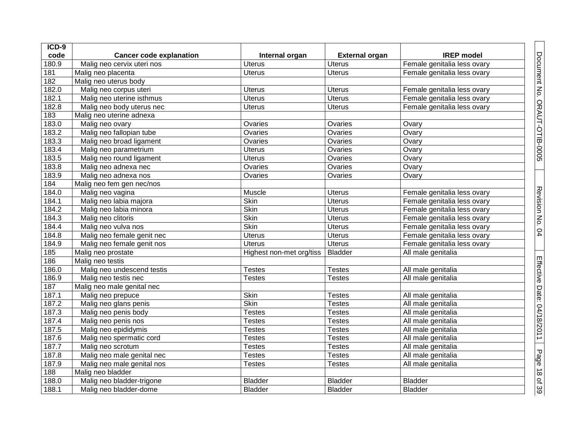| ICD-9 |                                |                          |                       |                             |                              |
|-------|--------------------------------|--------------------------|-----------------------|-----------------------------|------------------------------|
| code  | <b>Cancer code explanation</b> | Internal organ           | <b>External organ</b> | <b>IREP</b> model           |                              |
| 180.9 | Malig neo cervix uteri nos     | <b>Uterus</b>            | <b>Uterus</b>         | Female genitalia less ovary |                              |
| 181   | Malig neo placenta             | <b>Uterus</b>            | <b>Uterus</b>         | Female genitalia less ovary |                              |
| 182   | Malig neo uterus body          |                          |                       |                             |                              |
| 182.0 | Malig neo corpus uteri         | <b>Uterus</b>            | <b>Uterus</b>         | Female genitalia less ovary | Document No. ORAUT-OTIB-0005 |
| 182.1 | Malig neo uterine isthmus      | <b>Uterus</b>            | <b>Uterus</b>         | Female genitalia less ovary |                              |
| 182.8 | Malig neo body uterus nec      | <b>Uterus</b>            | <b>Uterus</b>         | Female genitalia less ovary |                              |
| 183   | Malig neo uterine adnexa       |                          |                       |                             |                              |
| 183.0 | Malig neo ovary                | Ovaries                  | Ovaries               | Ovary                       |                              |
| 183.2 | Malig neo fallopian tube       | Ovaries                  | Ovaries               | Ovary                       |                              |
| 183.3 | Malig neo broad ligament       | Ovaries                  | Ovaries               | Ovary                       |                              |
| 183.4 | Malig neo parametrium          | <b>Uterus</b>            | Ovaries               | Ovary                       |                              |
| 183.5 | Malig neo round ligament       | <b>Uterus</b>            | Ovaries               | Ovary                       |                              |
| 183.8 | Malig neo adnexa nec           | Ovaries                  | Ovaries               | Ovary                       |                              |
| 183.9 | Malig neo adnexa nos           | Ovaries                  | Ovaries               | Ovary                       |                              |
| 184   | Malig neo fem gen nec/nos      |                          |                       |                             |                              |
| 184.0 | Malig neo vagina               | Muscle                   | <b>Uterus</b>         | Female genitalia less ovary |                              |
| 184.1 | Malig neo labia majora         | Skin                     | <b>Uterus</b>         | Female genitalia less ovary |                              |
| 184.2 | Malig neo labia minora         | <b>Skin</b>              | <b>Uterus</b>         | Female genitalia less ovary |                              |
| 184.3 | Malig neo clitoris             | <b>Skin</b>              | <b>Uterus</b>         | Female genitalia less ovary | Revision No. 04              |
| 184.4 | Malig neo vulva nos            | Skin                     | <b>Uterus</b>         | Female genitalia less ovary |                              |
| 184.8 | Malig neo female genit nec     | <b>Uterus</b>            | <b>Uterus</b>         | Female genitalia less ovary |                              |
| 184.9 | Malig neo female genit nos     | <b>Uterus</b>            | <b>Uterus</b>         | Female genitalia less ovary |                              |
| 185   | Malig neo prostate             | Highest non-met org/tiss | Bladder               | All male genitalia          |                              |
| 186   | Malig neo testis               |                          |                       |                             |                              |
| 186.0 | Malig neo undescend testis     | <b>Testes</b>            | <b>Testes</b>         | All male genitalia          |                              |
| 186.9 | Malig neo testis nec           | <b>Testes</b>            | <b>Testes</b>         | All male genitalia          |                              |
| 187   | Malig neo male genital nec     |                          |                       |                             |                              |
| 187.1 | Malig neo prepuce              | <b>Skin</b>              | <b>Testes</b>         | All male genitalia          |                              |
| 187.2 | Malig neo glans penis          | Skin                     | <b>Testes</b>         | All male genitalia          |                              |
| 187.3 | Malig neo penis body           | <b>Testes</b>            | <b>Testes</b>         | All male genitalia          |                              |
| 187.4 | Malig neo penis nos            | <b>Testes</b>            | <b>Testes</b>         | All male genitalia          |                              |
| 187.5 | Malig neo epididymis           | <b>Testes</b>            | <b>Testes</b>         | All male genitalia          | Effective Date: 04/18/2011   |
| 187.6 | Malig neo spermatic cord       | <b>Testes</b>            | <b>Testes</b>         | All male genitalia          |                              |
| 187.7 | Malig neo scrotum              | <b>Testes</b>            | <b>Testes</b>         | All male genitalia          |                              |
| 187.8 | Malig neo male genital nec     | Testes                   | <b>Testes</b>         | All male genitalia          |                              |
| 187.9 | Malig neo male genital nos     | <b>Testes</b>            | <b>Testes</b>         | All male genitalia          |                              |
| 188   | Malig neo bladder              |                          |                       |                             |                              |
| 188.0 | Malig neo bladder-trigone      | <b>Bladder</b>           | <b>Bladder</b>        | <b>Bladder</b>              | Page 18 of 39                |
| 188.1 | Malig neo bladder-dome         | <b>Bladder</b>           | <b>Bladder</b>        | <b>Bladder</b>              |                              |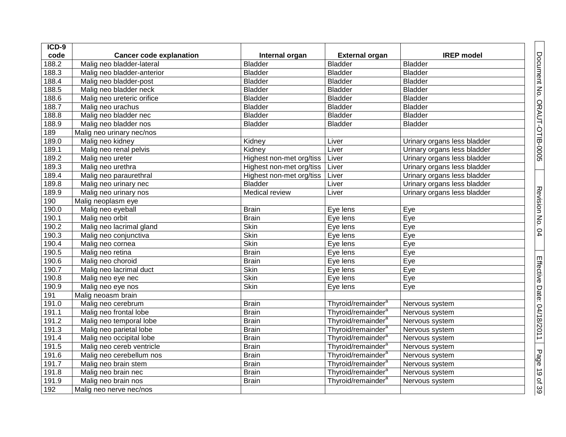| ICD-9              |                                |                          |                                |                             |
|--------------------|--------------------------------|--------------------------|--------------------------------|-----------------------------|
| code               | <b>Cancer code explanation</b> | Internal organ           | <b>External organ</b>          | <b>IREP</b> model           |
| 188.2              | Malig neo bladder-lateral      | <b>Bladder</b>           | <b>Bladder</b>                 | <b>Bladder</b>              |
| 188.3              | Malig neo bladder-anterior     | <b>Bladder</b>           | <b>Bladder</b>                 | <b>Bladder</b>              |
| 188.4              | Malig neo bladder-post         | <b>Bladder</b>           | <b>Bladder</b>                 | <b>Bladder</b>              |
| 188.5              | Malig neo bladder neck         | <b>Bladder</b>           | <b>Bladder</b>                 | <b>Bladder</b>              |
| 188.6              | Malig neo ureteric orifice     | <b>Bladder</b>           | <b>Bladder</b>                 | <b>Bladder</b>              |
| 188.7              | Malig neo urachus              | <b>Bladder</b>           | <b>Bladder</b>                 | <b>Bladder</b>              |
| 188.8              | Malig neo bladder nec          | <b>Bladder</b>           | <b>Bladder</b>                 | <b>Bladder</b>              |
| 188.9              | Malig neo bladder nos          | <b>Bladder</b>           | <b>Bladder</b>                 | <b>Bladder</b>              |
| 189                | Malig neo urinary nec/nos      |                          |                                |                             |
| 189.0              | Malig neo kidney               | Kidney                   | Liver                          | Urinary organs less bladder |
| 189.1              | Malig neo renal pelvis         | Kidney                   | Liver                          | Urinary organs less bladder |
| 189.2              | Malig neo ureter               | Highest non-met org/tiss | Liver                          | Urinary organs less bladder |
| 189.3              | Malig neo urethra              | Highest non-met org/tiss | Liver                          | Urinary organs less bladder |
| 189.4              | Malig neo paraurethral         | Highest non-met org/tiss | Liver                          | Urinary organs less bladder |
| 189.8              | Malig neo urinary nec          | <b>Bladder</b>           | Liver                          | Urinary organs less bladder |
| 189.9              | Malig neo urinary nos          | Medical review           | Liver                          | Urinary organs less bladder |
| 190                | Malig neoplasm eye             |                          |                                |                             |
| 190.0              | Malig neo eyeball              | <b>Brain</b>             | Eye lens                       | Eye                         |
| 190.1              | Malig neo orbit                | <b>Brain</b>             | Eye lens                       | Eye                         |
| 190.2              | Malig neo lacrimal gland       | Skin                     | Eye lens                       | Eye                         |
| 190.3              | Malig neo conjunctiva          | Skin                     | Eye lens                       | Eye                         |
| 190.4              | Malig neo cornea               | Skin                     | Eye lens                       | Eye                         |
| 190.5              | Malig neo retina               | <b>Brain</b>             | Eye lens                       | Eye                         |
| 190.6              | Malig neo choroid              | <b>Brain</b>             | Eye lens                       | Eye                         |
| 190.7              | Malig neo lacrimal duct        | Skin                     | Eye lens                       | Eye                         |
| 190.8              | Malig neo eye nec              | Skin                     | Eye lens                       | Eye                         |
| 190.9              | Malig neo eye nos              | Skin                     | Eye lens                       | Eye                         |
| 191                | Malig neoasm brain             |                          |                                |                             |
| 191.0              | Malig neo cerebrum             | <b>Brain</b>             | Thyroid/remainder <sup>a</sup> | Nervous system              |
| 191.1              | Malig neo frontal lobe         | <b>Brain</b>             | Thyroid/remainder <sup>a</sup> | Nervous system              |
| $191.\overline{2}$ | Malig neo temporal lobe        | <b>Brain</b>             | Thyroid/remainder <sup>a</sup> | Nervous system              |
| 191.3              | Malig neo parietal lobe        | <b>Brain</b>             | Thyroid/remainder <sup>a</sup> | Nervous system              |
| 191.4              | Malig neo occipital lobe       | <b>Brain</b>             | Thyroid/remainder <sup>a</sup> | Nervous system              |
| 191.5              | Malig neo cereb ventricle      | <b>Brain</b>             | Thyroid/remainder <sup>a</sup> | Nervous system              |
| 191.6              | Malig neo cerebellum nos       | <b>Brain</b>             | Thyroid/remainder <sup>a</sup> | Nervous system              |
| 191.7              | Malig neo brain stem           | <b>Brain</b>             | Thyroid/remainder <sup>a</sup> | Nervous system              |
| 191.8              | Malig neo brain nec            | <b>Brain</b>             | Thyroid/remainder <sup>a</sup> | Nervous system              |
| 191.9              | Malig neo brain nos            | <b>Brain</b>             | Thyroid/remainder <sup>a</sup> | Nervous system              |
| 192                | Malig neo nerve nec/nos        |                          |                                |                             |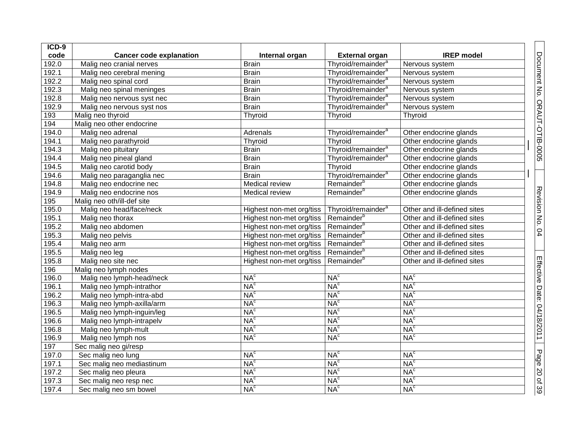| ICD-9              |                                |                                                   |                                |                             |
|--------------------|--------------------------------|---------------------------------------------------|--------------------------------|-----------------------------|
| code               | <b>Cancer code explanation</b> | Internal organ                                    | <b>External organ</b>          | <b>IREP</b> model           |
| 192.0              | Malig neo cranial nerves       | <b>Brain</b>                                      | Thyroid/remainder <sup>a</sup> | Nervous system              |
| 192.1              | Malig neo cerebral mening      | <b>Brain</b>                                      | Thyroid/remainder <sup>a</sup> | Nervous system              |
| 192.2              | Malig neo spinal cord          | <b>Brain</b>                                      | Thyroid/remainder <sup>a</sup> | Nervous system              |
| 192.3              | Malig neo spinal meninges      | <b>Brain</b>                                      | Thyroid/remainder <sup>a</sup> | Nervous system              |
| 192.8              | Malig neo nervous syst nec     | <b>Brain</b>                                      | Thyroid/remainder <sup>a</sup> | Nervous system              |
| 192.9              | Malig neo nervous syst nos     | <b>Brain</b>                                      | Thyroid/remainder <sup>a</sup> | Nervous system              |
| 193                | Malig neo thyroid              | Thyroid                                           | Thyroid                        | Thyroid                     |
| 194                | Malig neo other endocrine      |                                                   |                                |                             |
| 194.0              | Malig neo adrenal              | Adrenals                                          | Thyroid/remainder <sup>a</sup> | Other endocrine glands      |
| 194.1              | Malig neo parathyroid          | Thyroid                                           | Thyroid                        | Other endocrine glands      |
| 194.3              | Malig neo pituitary            | <b>Brain</b>                                      | Thyroid/remainder <sup>a</sup> | Other endocrine glands      |
| 194.4              | Malig neo pineal gland         | <b>Brain</b>                                      | Thyroid/remainder <sup>a</sup> | Other endocrine glands      |
| 194.5              | Malig neo carotid body         | <b>Brain</b>                                      | Thyroid                        | Other endocrine glands      |
| 194.6              | Malig neo paraganglia nec      | <b>Brain</b>                                      | Thyroid/remainder <sup>a</sup> | Other endocrine glands      |
| 194.8              | Malig neo endocrine nec        | Medical review                                    | Remainder <sup>b</sup>         | Other endocrine glands      |
| 194.9              | Malig neo endocrine nos        | Medical review                                    | Remainder <sup>b</sup>         | Other endocrine glands      |
| 195                | Malig neo oth/ill-def site     |                                                   |                                |                             |
| 195.0              | Malig neo head/face/neck       | Highest non-met org/tiss                          | Thyroid/remainder <sup>a</sup> | Other and ill-defined sites |
| 195.1              | Malig neo thorax               | Highest non-met org/tiss                          | Remainder <sup>b</sup>         | Other and ill-defined sites |
| 195.2              | Malig neo abdomen              | Highest non-met org/tiss                          | Remainder <sup>b</sup>         | Other and ill-defined sites |
| $195.\overline{3}$ | Malig neo pelvis               | Highest non-met org/tiss   Remainder <sup>b</sup> |                                | Other and ill-defined sites |
| 195.4              | Malig neo arm                  | Highest non-met org/tiss                          | Remainder <sup>b</sup>         | Other and ill-defined sites |
| 195.5              | Malig neo leg                  | Highest non-met org/tiss                          | Remainder <sup>b</sup>         | Other and ill-defined sites |
| 195.8              | Malig neo site nec             | Highest non-met org/tiss                          | Remainder <sup>b</sup>         | Other and ill-defined sites |
| 196                | Malig neo lymph nodes          |                                                   |                                |                             |
| 196.0              | Malig neo lymph-head/neck      | NA <sup>c</sup>                                   | NA <sup>c</sup>                | NA <sup>c</sup>             |
| 196.1              | Malig neo lymph-intrathor      | NA <sup>c</sup>                                   | NA <sup>c</sup>                | NA <sup>c</sup>             |
| 196.2              | Malig neo lymph-intra-abd      | NA <sup>c</sup>                                   | NA <sup>c</sup>                | NA <sup>c</sup>             |
| 196.3              | Malig neo lymph-axilla/arm     | NA <sup>c</sup>                                   | NA <sup>c</sup>                | NA <sup>c</sup>             |
| 196.5              | Malig neo lymph-inguin/leg     | NA <sup>c</sup>                                   | NA <sup>c</sup>                | NA <sup>c</sup>             |
| 196.6              | Malig neo lymph-intrapelv      | NA <sup>c</sup>                                   | NA <sup>c</sup>                | NA <sup>c</sup>             |
| 196.8              | Malig neo lymph-mult           | NA <sup>c</sup>                                   | NA <sup>c</sup>                | NA <sup>c</sup>             |
| 196.9              | Malig neo lymph nos            | NA <sup>c</sup>                                   | NA <sup>c</sup>                | NA <sup>c</sup>             |
| 197                | Sec malig neo gi/resp          |                                                   |                                |                             |
| 197.0              | Sec malig neo lung             | NA <sup>c</sup>                                   | NA <sup>c</sup>                | NA <sup>c</sup>             |
| 197.1              | Sec malig neo mediastinum      | NA <sup>c</sup>                                   | NA <sup>c</sup>                | NA <sup>c</sup>             |
| 197.2              | Sec malig neo pleura           | NA <sup>c</sup>                                   | NA <sup>c</sup>                | NA <sup>c</sup>             |
| 197.3              | Sec malig neo resp nec         | NA <sup>c</sup>                                   | NA <sup>c</sup>                | NA <sup>c</sup>             |
| 197.4              | Sec malig neo sm bowel         | NA <sup>c</sup>                                   | NA <sup>c</sup>                | NA <sup>c</sup>             |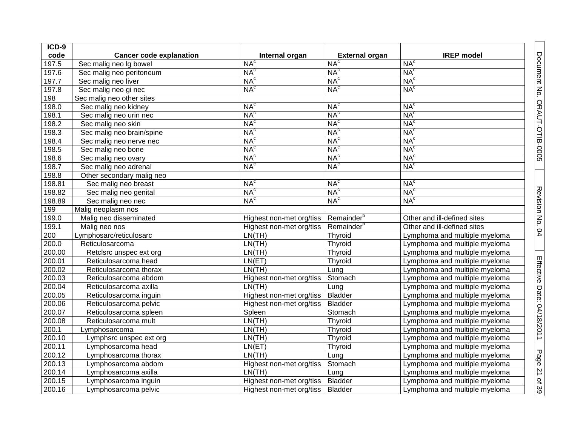| ICD-9  |                                |                          |                        |                               |
|--------|--------------------------------|--------------------------|------------------------|-------------------------------|
| code   | <b>Cancer code explanation</b> | Internal organ           | <b>External organ</b>  | <b>IREP</b> model             |
| 197.5  | Sec malig neo Ig bowel         | NA <sup>c</sup>          | NA <sup>c</sup>        | NA <sup>c</sup>               |
| 197.6  | Sec malig neo peritoneum       | NA <sup>c</sup>          | NA <sup>c</sup>        | NA <sup>c</sup>               |
| 197.7  | Sec malig neo liver            | NA <sup>c</sup>          | NA <sup>c</sup>        | NA <sup>c</sup>               |
| 197.8  | Sec malig neo gi nec           | NA <sup>c</sup>          | NA <sup>c</sup>        | NA <sup>c</sup>               |
| 198    | Sec malig neo other sites      |                          |                        |                               |
| 198.0  | Sec malig neo kidney           | NA <sup>c</sup>          | NA <sup>c</sup>        | NA <sup>c</sup>               |
| 198.1  | Sec malig neo urin nec         | NA <sup>c</sup>          | NA <sup>c</sup>        | NA <sup>c</sup>               |
| 198.2  | Sec malig neo skin             | NA <sup>c</sup>          | NA <sup>c</sup>        | NA <sup>c</sup>               |
| 198.3  | Sec malig neo brain/spine      | NA <sup>c</sup>          | NA <sup>c</sup>        | NA <sup>c</sup>               |
| 198.4  | Sec malig neo nerve nec        | NA <sup>c</sup>          | NA <sup>c</sup>        | NA <sup>c</sup>               |
| 198.5  | Sec malig neo bone             | NA <sup>c</sup>          | NA <sup>c</sup>        | NA <sup>c</sup>               |
| 198.6  | Sec malig neo ovary            | NA <sup>c</sup>          | NA <sup>c</sup>        | NA <sup>c</sup>               |
| 198.7  | Sec malig neo adrenal          | NA <sup>c</sup>          | NA <sup>c</sup>        | NA <sup>c</sup>               |
| 198.8  | Other secondary malig neo      |                          |                        |                               |
| 198.81 | Sec malig neo breast           | NA <sup>c</sup>          | NA <sup>c</sup>        | NA <sup>c</sup>               |
| 198.82 | Sec malig neo genital          | NA <sup>c</sup>          | NA <sup>c</sup>        | NA <sup>c</sup>               |
| 198.89 | Sec malig neo nec              | NA <sup>c</sup>          | NA <sup>c</sup>        | NA <sup>c</sup>               |
| 199    | Malig neoplasm nos             |                          |                        |                               |
| 199.0  | Malig neo disseminated         | Highest non-met org/tiss | Remainder <sup>b</sup> | Other and ill-defined sites   |
| 199.1  | Malig neo nos                  | Highest non-met org/tiss | Remainder <sup>b</sup> | Other and ill-defined sites   |
| 200    | Lymphosarc/reticulosarc        | LN(TH)                   | Thyroid                | Lymphoma and multiple myeloma |
| 200.0  | Reticulosarcoma                | LN(TH)                   | Thyroid                | Lymphoma and multiple myeloma |
| 200.00 | Retclsrc unspec ext org        | LN(TH)                   | Thyroid                | Lymphoma and multiple myeloma |
| 200.01 | Reticulosarcoma head           | LN(ET)                   | Thyroid                | Lymphoma and multiple myeloma |
| 200.02 | Reticulosarcoma thorax         | LN(TH)                   | Lung                   | Lymphoma and multiple myeloma |
| 200.03 | Reticulosarcoma abdom          | Highest non-met org/tiss | Stomach                | Lymphoma and multiple myeloma |
| 200.04 | Reticulosarcoma axilla         | LN(TH)                   | Lung                   | Lymphoma and multiple myeloma |
| 200.05 | Reticulosarcoma inguin         | Highest non-met org/tiss | Bladder                | Lymphoma and multiple myeloma |
| 200.06 | Reticulosarcoma pelvic         | Highest non-met org/tiss | <b>Bladder</b>         | Lymphoma and multiple myeloma |
| 200.07 | Reticulosarcoma spleen         | Spleen                   | Stomach                | Lymphoma and multiple myeloma |
| 200.08 | Reticulosarcoma mult           | LN(TH)                   | Thyroid                | Lymphoma and multiple myeloma |
| 200.1  | ymphosarcoma                   | LN(TH)                   | Thyroid                | Lymphoma and multiple myeloma |
| 200.10 | Lymphsrc unspec ext org        | LN(TH)                   | Thyroid                | Lymphoma and multiple myeloma |
| 200.11 | Lymphosarcoma head             | LN(ET)                   | Thyroid                | Lymphoma and multiple myeloma |
| 200.12 | Lymphosarcoma thorax           | LN(TH)                   | Lung                   | Lymphoma and multiple myeloma |
| 200.13 | Lymphosarcoma abdom            | Highest non-met org/tiss | Stomach                | Lymphoma and multiple myeloma |
| 200.14 | Lymphosarcoma axilla           | LN(TH)                   | Lung                   | Lymphoma and multiple myeloma |
| 200.15 | Lymphosarcoma inguin           | Highest non-met org/tiss | <b>Bladder</b>         | Lymphoma and multiple myeloma |
| 200.16 | Lymphosarcoma pelvic           | Highest non-met org/tiss | <b>Bladder</b>         | Lymphoma and multiple myeloma |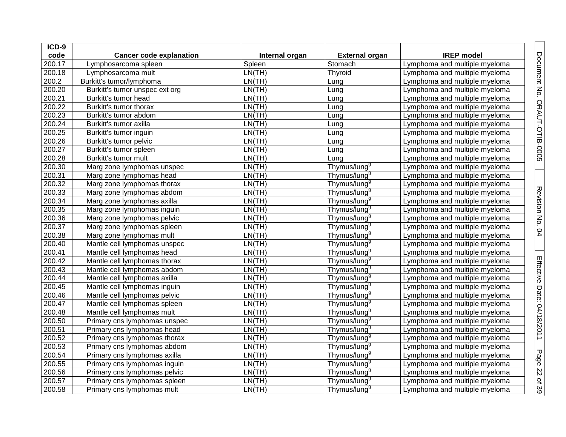| $ICD-9$ |                                |                |                          |                               |
|---------|--------------------------------|----------------|--------------------------|-------------------------------|
| code    | <b>Cancer code explanation</b> | Internal organ | <b>External organ</b>    | <b>IREP</b> model             |
| 200.17  | Lymphosarcoma spleen           | Spleen         | Stomach                  | Lymphoma and multiple myeloma |
| 200.18  | Lymphosarcoma mult             | LN(TH)         | Thyroid                  | Lymphoma and multiple myeloma |
| 200.2   | Burkitt's tumor/lymphoma       | LN(TH)         | Lung                     | Lymphoma and multiple myeloma |
| 200.20  | Burkitt's tumor unspec ext org | LN(TH)         | Lung                     | Lymphoma and multiple myeloma |
| 200.21  | Burkitt's tumor head           | LN(TH)         | Lung                     | Lymphoma and multiple myeloma |
| 200.22  | Burkitt's tumor thorax         | LN(TH)         | Lung                     | Lymphoma and multiple myeloma |
| 200.23  | Burkitt's tumor abdom          | LN(TH)         | Lung                     | Lymphoma and multiple myeloma |
| 200.24  | Burkitt's tumor axilla         | LN(TH)         | Lung                     | Lymphoma and multiple myeloma |
| 200.25  | Burkitt's tumor inguin         | LN(TH)         | Lung                     | Lymphoma and multiple myeloma |
| 200.26  | Burkitt's tumor pelvic         | LN(TH)         | Lung                     | Lymphoma and multiple myeloma |
| 200.27  | Burkitt's tumor spleen         | LN(TH)         | Lung                     | Lymphoma and multiple myeloma |
| 200.28  | Burkitt's tumor mult           | LN(TH)         | Lung                     | Lymphoma and multiple myeloma |
| 200.30  | Marg zone lymphomas unspec     | LN(TH)         | Thymus/lung <sup>9</sup> | Lymphoma and multiple myeloma |
| 200.31  | Marg zone lymphomas head       | LN(TH)         | Thymus/lung <sup>9</sup> | Lymphoma and multiple myeloma |
| 200.32  | Marg zone lymphomas thorax     | LN(TH)         | Thymus/lung <sup>9</sup> | Lymphoma and multiple myeloma |
| 200.33  | Marg zone lymphomas abdom      | LN(TH)         | Thymus/lung <sup>9</sup> | Lymphoma and multiple myeloma |
| 200.34  | Marg zone lymphomas axilla     | LN(TH)         | Thymus/lung <sup>9</sup> | Lymphoma and multiple myeloma |
| 200.35  | Marg zone lymphomas inguin     | LN(TH)         | Thymus/lung <sup>9</sup> | Lymphoma and multiple myeloma |
| 200.36  | Marg zone lymphomas pelvic     | LN(TH)         | Thymus/lung <sup>9</sup> | Lymphoma and multiple myeloma |
| 200.37  | Marg zone lymphomas spleen     | LN(TH)         | Thymus/lung <sup>9</sup> | Lymphoma and multiple myeloma |
| 200.38  | Marg zone lymphomas mult       | LN(TH)         | Thymus/lung <sup>9</sup> | Lymphoma and multiple myeloma |
| 200.40  | Mantle cell lymphomas unspec   | LN(TH)         | Thymus/lung <sup>9</sup> | Lymphoma and multiple myeloma |
| 200.41  | Mantle cell lymphomas head     | LN(TH)         | Thymus/lung <sup>9</sup> | Lymphoma and multiple myeloma |
| 200.42  | Mantle cell lymphomas thorax   | LN(TH)         | Thymus/lung <sup>9</sup> | Lymphoma and multiple myeloma |
| 200.43  | Mantle cell lymphomas abdom    | LN(TH)         | Thymus/lung <sup>9</sup> | Lymphoma and multiple myeloma |
| 200.44  | Mantle cell lymphomas axilla   | LN(TH)         | Thymus/lung <sup>9</sup> | Lymphoma and multiple myeloma |
| 200.45  | Mantle cell lymphomas inguin   | LN(TH)         | Thymus/lung <sup>9</sup> | Lymphoma and multiple myeloma |
| 200.46  | Mantle cell lymphomas pelvic   | LN(TH)         | Thymus/lung <sup>9</sup> | Lymphoma and multiple myeloma |
| 200.47  | Mantle cell lymphomas spleen   | LN(TH)         | Thymus/lung <sup>9</sup> | Lymphoma and multiple myeloma |
| 200.48  | Mantle cell lymphomas mult     | LN(TH)         | Thymus/lung <sup>9</sup> | Lymphoma and multiple myeloma |
| 200.50  | Primary cns lymphomas unspec   | LN(TH)         | Thymus/lung <sup>9</sup> | Lymphoma and multiple myeloma |
| 200.51  | Primary cns lymphomas head     | LN(TH)         | Thymus/lung <sup>9</sup> | Lymphoma and multiple myeloma |
| 200.52  | Primary cns lymphomas thorax   | LN(TH)         | Thymus/lung <sup>9</sup> | Lymphoma and multiple myeloma |
| 200.53  | Primary cns lymphomas abdom    | LN(TH)         | Thymus/lung <sup>9</sup> | Lymphoma and multiple myeloma |
| 200.54  | Primary cns lymphomas axilla   | LN(TH)         | Thymus/lung <sup>9</sup> | Lymphoma and multiple myeloma |
| 200.55  | Primary cns lymphomas inguin   | LN(TH)         | Thymus/lung <sup>9</sup> | Lymphoma and multiple myeloma |
| 200.56  | Primary cns lymphomas pelvic   | LN(TH)         | Thymus/lung <sup>9</sup> | Lymphoma and multiple myeloma |
| 200.57  | Primary cns lymphomas spleen   | LN(TH)         | Thymus/lung <sup>9</sup> | Lymphoma and multiple myeloma |
| 200.58  | Primary cns lymphomas mult     | LN(TH)         | Thymus/lung <sup>9</sup> | Lymphoma and multiple myeloma |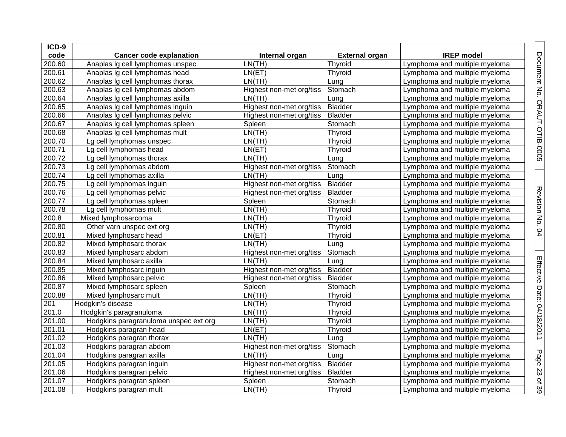| $ICD-9$ |                                       |                          |                       |                               |
|---------|---------------------------------------|--------------------------|-----------------------|-------------------------------|
| code    | <b>Cancer code explanation</b>        | Internal organ           | <b>External organ</b> | <b>IREP</b> model             |
| 200.60  | Anaplas Ig cell lymphomas unspec      | LN(TH)                   | Thyroid               | Lymphoma and multiple myeloma |
| 200.61  | Anaplas Ig cell lymphomas head        | LN(ET)                   | Thyroid               | Lymphoma and multiple myeloma |
| 200.62  | Anaplas Ig cell lymphomas thorax      | LN(TH)                   | Lung                  | Lymphoma and multiple myeloma |
| 200.63  | Anaplas Ig cell lymphomas abdom       | Highest non-met org/tiss | Stomach               | Lymphoma and multiple myeloma |
| 200.64  | Anaplas Ig cell lymphomas axilla      | LN(TH)                   | Lung                  | Lymphoma and multiple myeloma |
| 200.65  | Anaplas Ig cell lymphomas inguin      | Highest non-met org/tiss | <b>Bladder</b>        | Lymphoma and multiple myeloma |
| 200.66  | Anaplas Ig cell lymphomas pelvic      | Highest non-met org/tiss | <b>Bladder</b>        | Lymphoma and multiple myeloma |
| 200.67  | Anaplas Ig cell lymphomas spleen      | Spleen                   | Stomach               | Lymphoma and multiple myeloma |
| 200.68  | Anaplas Ig cell lymphomas mult        | LN(TH)                   | Thyroid               | Lymphoma and multiple myeloma |
| 200.70  | Lg cell lymphomas unspec              | LN(TH)                   | Thyroid               | Lymphoma and multiple myeloma |
| 200.71  | Lg cell lymphomas head                | LN(ET)                   | Thyroid               | Lymphoma and multiple myeloma |
| 200.72  | Lg cell lymphomas thorax              | LN(TH)                   | Lung                  | Lymphoma and multiple myeloma |
| 200.73  | Lg cell lymphomas abdom               | Highest non-met org/tiss | Stomach               | Lymphoma and multiple myeloma |
| 200.74  | Lg cell lymphomas axilla              | LN(TH)                   | Lung                  | Lymphoma and multiple myeloma |
| 200.75  | Lg cell lymphomas inguin              | Highest non-met org/tiss | <b>Bladder</b>        | Lymphoma and multiple myeloma |
| 200.76  | Lg cell lymphomas pelvic              | Highest non-met org/tiss | <b>Bladder</b>        | Lymphoma and multiple myeloma |
| 200.77  | Lg cell lymphomas spleen              | Spleen                   | Stomach               | Lymphoma and multiple myeloma |
| 200.78  | Lg cell lymphomas mult                | LN(TH)                   | Thyroid               | Lymphoma and multiple myeloma |
| 200.8   | Mixed lymphosarcoma                   | LN(TH)                   | Thyroid               | Lymphoma and multiple myeloma |
| 200.80  | Other varn unspec ext org             | LN(TH)                   | Thyroid               | Lymphoma and multiple myeloma |
| 200.81  | Mixed lymphosarc head                 | LN(ET)                   | Thyroid               | Lymphoma and multiple myeloma |
| 200.82  | Mixed lymphosarc thorax               | LN(TH)                   | Lung                  | Lymphoma and multiple myeloma |
| 200.83  | Mixed lymphosarc abdom                | Highest non-met org/tiss | Stomach               | Lymphoma and multiple myeloma |
| 200.84  | Mixed lymphosarc axilla               | LN(TH)                   | Lung                  | Lymphoma and multiple myeloma |
| 200.85  | Mixed lymphosarc inguin               | Highest non-met org/tiss | <b>Bladder</b>        | Lymphoma and multiple myeloma |
| 200.86  | Mixed lymphosarc pelvic               | Highest non-met org/tiss | <b>Bladder</b>        | Lymphoma and multiple myeloma |
| 200.87  | Mixed lymphosarc spleen               | Spleen                   | Stomach               | Lymphoma and multiple myeloma |
| 200.88  | Mixed lymphosarc mult                 | LN(TH)                   | Thyroid               | Lymphoma and multiple myeloma |
| 201     | Hodgkin's disease                     | LN(TH)                   | Thyroid               | Lymphoma and multiple myeloma |
| 201.0   | Hodgkin's paragranuloma               | LN(TH)                   | Thyroid               | Lymphoma and multiple myeloma |
| 201.00  | Hodgkins paragranuloma unspec ext org | LN(TH)                   | Thyroid               | Lymphoma and multiple myeloma |
| 201.01  | Hodgkins paragran head                | LN(ET)                   | Thyroid               | Lymphoma and multiple myeloma |
| 201.02  | Hodgkins paragran thorax              | LN(TH)                   | Lung                  | Lymphoma and multiple myeloma |
| 201.03  | Hodgkins paragran abdom               | Highest non-met org/tiss | Stomach               | Lymphoma and multiple myeloma |
| 201.04  | Hodgkins paragran axilla              | LN(TH)                   | Lung                  | Lymphoma and multiple myeloma |
| 201.05  | Hodgkins paragran inguin              | Highest non-met org/tiss | <b>Bladder</b>        | Lymphoma and multiple myeloma |
| 201.06  | Hodgkins paragran pelvic              | Highest non-met org/tiss | <b>Bladder</b>        | Lymphoma and multiple myeloma |
| 201.07  | Hodgkins paragran spleen              | Spleen                   | Stomach               | Lymphoma and multiple myeloma |
| 201.08  | Hodgkins paragran mult                | LN(TH)                   | Thyroid               | Lymphoma and multiple myeloma |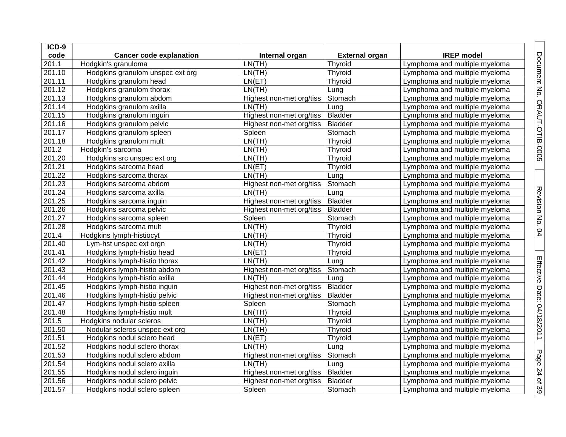| $ICD-9$ |                                  |                          |                       |                               |
|---------|----------------------------------|--------------------------|-----------------------|-------------------------------|
| code    | <b>Cancer code explanation</b>   | Internal organ           | <b>External organ</b> | <b>IREP</b> model             |
| 201.1   | Hodgkin's granuloma              | LN(TH)                   | Thyroid               | Lymphoma and multiple myeloma |
| 201.10  | Hodgkins granulom unspec ext org | LN(TH)                   | Thyroid               | Lymphoma and multiple myeloma |
| 201.11  | Hodgkins granulom head           | LN(ET)                   | Thyroid               | Lymphoma and multiple myeloma |
| 201.12  | Hodgkins granulom thorax         | LN(TH)                   | Lung                  | Lymphoma and multiple myeloma |
| 201.13  | Hodgkins granulom abdom          | Highest non-met org/tiss | Stomach               | Lymphoma and multiple myeloma |
| 201.14  | Hodgkins granulom axilla         | LN(TH)                   | Lung                  | Lymphoma and multiple myeloma |
| 201.15  | Hodgkins granulom inguin         | Highest non-met org/tiss | <b>Bladder</b>        | Lymphoma and multiple myeloma |
| 201.16  | Hodgkins granulom pelvic         | Highest non-met org/tiss | <b>Bladder</b>        | Lymphoma and multiple myeloma |
| 201.17  | Hodgkins granulom spleen         | Spleen                   | Stomach               | Lymphoma and multiple myeloma |
| 201.18  | Hodgkins granulom mult           | LN(TH)                   | Thyroid               | Lymphoma and multiple myeloma |
| 201.2   | Hodgkin's sarcoma                | LN(TH)                   | Thyroid               | Lymphoma and multiple myeloma |
| 201.20  | Hodgkins src unspec ext org      | LN(TH)                   | Thyroid               | Lymphoma and multiple myeloma |
| 201.21  | Hodgkins sarcoma head            | LN(ET)                   | Thyroid               | Lymphoma and multiple myeloma |
| 201.22  | Hodgkins sarcoma thorax          | LN(TH)                   | Lung                  | Lymphoma and multiple myeloma |
| 201.23  | Hodgkins sarcoma abdom           | Highest non-met org/tiss | Stomach               | Lymphoma and multiple myeloma |
| 201.24  | Hodgkins sarcoma axilla          | LN(TH)                   | Lung                  | Lymphoma and multiple myeloma |
| 201.25  | Hodgkins sarcoma inguin          | Highest non-met org/tiss | <b>Bladder</b>        | Lymphoma and multiple myeloma |
| 201.26  | Hodgkins sarcoma pelvic          | Highest non-met org/tiss | <b>Bladder</b>        | Lymphoma and multiple myeloma |
| 201.27  | Hodgkins sarcoma spleen          | Spleen                   | Stomach               | Lymphoma and multiple myeloma |
| 201.28  | Hodgkins sarcoma mult            | LN(TH)                   | Thyroid               | Lymphoma and multiple myeloma |
| 201.4   | Hodgkins lymph-histiocyt         | LN(TH)                   | Thyroid               | Lymphoma and multiple myeloma |
| 201.40  | Lym-hst unspec ext orgn          | LN(TH)                   | Thyroid               | Lymphoma and multiple myeloma |
| 201.41  | Hodgkins lymph-histio head       | LN(ET)                   | Thyroid               | Lymphoma and multiple myeloma |
| 201.42  | Hodgkins lymph-histio thorax     | LN(TH)                   | Lung                  | Lymphoma and multiple myeloma |
| 201.43  | Hodgkins lymph-histio abdom      | Highest non-met org/tiss | Stomach               | Lymphoma and multiple myeloma |
| 201.44  | Hodgkins lymph-histio axilla     | LN(TH)                   | Lung                  | Lymphoma and multiple myeloma |
| 201.45  | Hodgkins lymph-histio inguin     | Highest non-met org/tiss | <b>Bladder</b>        | Lymphoma and multiple myeloma |
| 201.46  | Hodgkins lymph-histio pelvic     | Highest non-met org/tiss | <b>Bladder</b>        | Lymphoma and multiple myeloma |
| 201.47  | Hodgkins lymph-histio spleen     | Spleen                   | Stomach               | Lymphoma and multiple myeloma |
| 201.48  | Hodgkins lymph-histio mult       | LN(TH)                   | Thyroid               | Lymphoma and multiple myeloma |
| 201.5   | Hodgkins nodular scleros         | LN(TH)                   | Thyroid               | Lymphoma and multiple myeloma |
| 201.50  | Nodular scleros unspec ext org   | LN(TH)                   | Thyroid               | Lymphoma and multiple myeloma |
| 201.51  | Hodgkins nodul sclero head       | LN(ET)                   | Thyroid               | Lymphoma and multiple myeloma |
| 201.52  | Hodgkins nodul sclero thorax     | LN(TH)                   | Lung                  | Lymphoma and multiple myeloma |
| 201.53  | Hodgkins nodul sclero abdom      | Highest non-met org/tiss | Stomach               | Lymphoma and multiple myeloma |
| 201.54  | Hodgkins nodul sclero axilla     | LN(TH)                   | Lung                  | Lymphoma and multiple myeloma |
| 201.55  | Hodgkins nodul sclero inguin     | Highest non-met org/tiss | <b>Bladder</b>        | Lymphoma and multiple myeloma |
| 201.56  | Hodgkins nodul sclero pelvic     | Highest non-met org/tiss | <b>Bladder</b>        | Lymphoma and multiple myeloma |
| 201.57  | Hodgkins nodul sclero spleen     | Spleen                   | Stomach               | Lymphoma and multiple myeloma |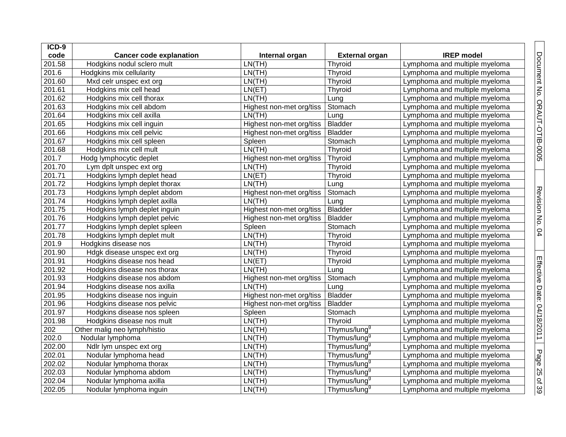| ICD-9  |                                |                          |                          |                               |
|--------|--------------------------------|--------------------------|--------------------------|-------------------------------|
| code   | <b>Cancer code explanation</b> | Internal organ           | <b>External organ</b>    | <b>IREP</b> model             |
| 201.58 | Hodgkins nodul sclero mult     | LN(TH)                   | Thyroid                  | Lymphoma and multiple myeloma |
| 201.6  | Hodgkins mix cellularity       | LN(TH)                   | Thyroid                  | Lymphoma and multiple myeloma |
| 201.60 | Mxd celr unspec ext org        | LN(TH)                   | Thyroid                  | Lymphoma and multiple myeloma |
| 201.61 | Hodgkins mix cell head         | LN(ET)                   | Thyroid                  | Lymphoma and multiple myeloma |
| 201.62 | Hodgkins mix cell thorax       | LN(TH)                   | Lung                     | Lymphoma and multiple myeloma |
| 201.63 | Hodgkins mix cell abdom        | Highest non-met org/tiss | Stomach                  | Lymphoma and multiple myeloma |
| 201.64 | Hodgkins mix cell axilla       | LN(TH)                   | Lung                     | Lymphoma and multiple myeloma |
| 201.65 | Hodgkins mix cell inguin       | Highest non-met org/tiss | <b>Bladder</b>           | Lymphoma and multiple myeloma |
| 201.66 | Hodgkins mix cell pelvic       | Highest non-met org/tiss | <b>Bladder</b>           | Lymphoma and multiple myeloma |
| 201.67 | Hodgkins mix cell spleen       | Spleen                   | Stomach                  | Lymphoma and multiple myeloma |
| 201.68 | Hodgkins mix cell mult         | LN(TH)                   | Thyroid                  | Lymphoma and multiple myeloma |
| 201.7  | Hodg lymphocytic deplet        | Highest non-met org/tiss | Thyroid                  | Lymphoma and multiple myeloma |
| 201.70 | Lym dplt unspec ext org        | LN(TH)                   | Thyroid                  | Lymphoma and multiple myeloma |
| 201.71 | Hodgkins lymph deplet head     | LN(ET)                   | Thyroid                  | Lymphoma and multiple myeloma |
| 201.72 | Hodgkins lymph deplet thorax   | LN(TH)                   | Lung                     | Lymphoma and multiple myeloma |
| 201.73 | Hodgkins lymph deplet abdom    | Highest non-met org/tiss | Stomach                  | Lymphoma and multiple myeloma |
| 201.74 | Hodgkins lymph deplet axilla   | LN(TH)                   | Lung                     | Lymphoma and multiple myeloma |
| 201.75 | Hodgkins lymph deplet inguin   | Highest non-met org/tiss | <b>Bladder</b>           | Lymphoma and multiple myeloma |
| 201.76 | Hodgkins lymph deplet pelvic   | Highest non-met org/tiss | <b>Bladder</b>           | Lymphoma and multiple myeloma |
| 201.77 | Hodgkins lymph deplet spleen   | Spleen                   | Stomach                  | Lymphoma and multiple myeloma |
| 201.78 | Hodgkins lymph deplet mult     | LN(TH)                   | Thyroid                  | Lymphoma and multiple myeloma |
| 201.9  | Hodgkins disease nos           | LN(TH)                   | Thyroid                  | Lymphoma and multiple myeloma |
| 201.90 | Hdgk disease unspec ext org    | LN(TH)                   | Thyroid                  | Lymphoma and multiple myeloma |
| 201.91 | Hodgkins disease nos head      | LN(ET)                   | Thyroid                  | Lymphoma and multiple myeloma |
| 201.92 | Hodgkins disease nos thorax    | LN(TH)                   | Lung                     | Lymphoma and multiple myeloma |
| 201.93 | Hodgkins disease nos abdom     | Highest non-met org/tiss | Stomach                  | Lymphoma and multiple myeloma |
| 201.94 | Hodgkins disease nos axilla    | LN(TH)                   | Lung                     | Lymphoma and multiple myeloma |
| 201.95 | Hodgkins disease nos inguin    | Highest non-met org/tiss | <b>Bladder</b>           | Lymphoma and multiple myeloma |
| 201.96 | Hodgkins disease nos pelvic    | Highest non-met org/tiss | <b>Bladder</b>           | Lymphoma and multiple myeloma |
| 201.97 | Hodgkins disease nos spleen    | Spleen                   | Stomach                  | Lymphoma and multiple myeloma |
| 201.98 | Hodgkins disease nos mult      | LN(TH)                   | Thyroid                  | Lymphoma and multiple myeloma |
| 202    | Other malig neo lymph/histio   | LN(TH)                   | Thymus/lung <sup>9</sup> | Lymphoma and multiple myeloma |
| 202.0  | Nodular lymphoma               | LN(TH)                   | Thymus/lung <sup>9</sup> | Lymphoma and multiple myeloma |
| 202.00 | Ndlr lym unspec ext org        | LN(TH)                   | Thymus/lung <sup>9</sup> | Lymphoma and multiple myeloma |
| 202.01 | Nodular lymphoma head          | LN(TH)                   | Thymus/lung <sup>9</sup> | Lymphoma and multiple myeloma |
| 202.02 | Nodular lymphoma thorax        | LN(TH)                   | Thymus/lung <sup>9</sup> | Lymphoma and multiple myeloma |
| 202.03 | Nodular lymphoma abdom         | LN(TH)                   | Thymus/lung <sup>9</sup> | Lymphoma and multiple myeloma |
| 202.04 | Nodular lymphoma axilla        | LN(TH)                   | Thymus/lung <sup>9</sup> | Lymphoma and multiple myeloma |
| 202.05 | Nodular lymphoma inquin        | LN(TH)                   | Thymus/lung <sup>9</sup> | Lymphoma and multiple myeloma |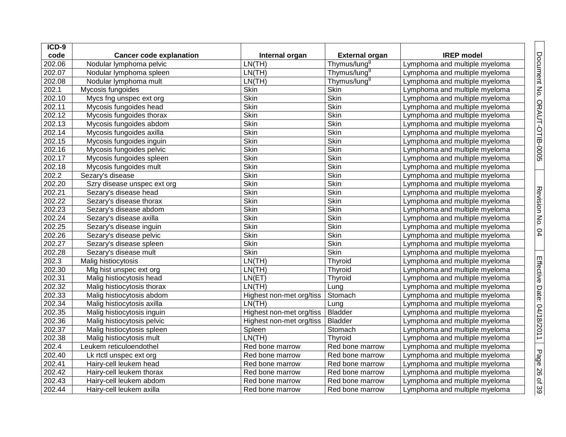| ICD-9  |                                |                          |                          |                               |
|--------|--------------------------------|--------------------------|--------------------------|-------------------------------|
| code   | <b>Cancer code explanation</b> | Internal organ           | <b>External organ</b>    | <b>IREP</b> model             |
| 202.06 | Nodular lymphoma pelvic        | LN(TH)                   | Thymus/lung <sup>9</sup> | Lymphoma and multiple myeloma |
| 202.07 | Nodular lymphoma spleen        | LN(TH)                   | Thymus/lung <sup>9</sup> | Lymphoma and multiple myeloma |
| 202.08 | Nodular lymphoma mult          | LN(TH)                   | Thymus/lung <sup>9</sup> | Lymphoma and multiple myeloma |
| 202.1  | Mycosis fungoides              | Skin                     | Skin                     | Lymphoma and multiple myeloma |
| 202.10 | Mycs fng unspec ext org        | <b>Skin</b>              | <b>Skin</b>              | Lymphoma and multiple myeloma |
| 202.11 | Mycosis fungoides head         | <b>Skin</b>              | Skin                     | Lymphoma and multiple myeloma |
| 202.12 | Mycosis fungoides thorax       | Skin                     | Skin                     | Lymphoma and multiple myeloma |
| 202.13 | Mycosis fungoides abdom        | Skin                     | Skin                     | Lymphoma and multiple myeloma |
| 202.14 | Mycosis fungoides axilla       | Skin                     | Skin                     | Lymphoma and multiple myeloma |
| 202.15 | Mycosis fungoides inguin       | <b>Skin</b>              | <b>Skin</b>              | Lymphoma and multiple myeloma |
| 202.16 | Mycosis fungoides pelvic       | <b>Skin</b>              | <b>Skin</b>              | Lymphoma and multiple myeloma |
| 202.17 | Mycosis fungoides spleen       | <b>Skin</b>              | Skin                     | Lymphoma and multiple myeloma |
| 202.18 | Mycosis fungoides mult         | <b>Skin</b>              | Skin                     | Lymphoma and multiple myeloma |
| 202.2  | Sezary's disease               | Skin                     | Skin                     | Lymphoma and multiple myeloma |
| 202.20 | Szry disease unspec ext org    | Skin                     | Skin                     | Lymphoma and multiple myeloma |
| 202.21 | Sezary's disease head          | Skin                     | Skin                     | Lymphoma and multiple myeloma |
| 202.22 | Sezary's disease thorax        | <b>Skin</b>              | <b>Skin</b>              | Lymphoma and multiple myeloma |
| 202.23 | Sezary's disease abdom         | <b>Skin</b>              | Skin                     | Lymphoma and multiple myeloma |
| 202.24 | Sezary's disease axilla        | Skin                     | Skin                     | Lymphoma and multiple myeloma |
| 202.25 | Sezary's disease inguin        | Skin                     | Skin                     | Lymphoma and multiple myeloma |
| 202.26 | Sezary's disease pelvic        | Skin                     | Skin                     | Lymphoma and multiple myeloma |
| 202.27 | Sezary's disease spleen        | Skin                     | Skin                     | Lymphoma and multiple myeloma |
| 202.28 | Sezary's disease mult          | Skin                     | <b>Skin</b>              | Lymphoma and multiple myeloma |
| 202.3  | Malig histiocytosis            | LN(TH)                   | Thyroid                  | Lymphoma and multiple myeloma |
| 202.30 | Mlg hist unspec ext org        | LN(TH)                   | Thyroid                  | Lymphoma and multiple myeloma |
| 202.31 | Malig histiocytosis head       | LN(ET)                   | Thyroid                  | Lymphoma and multiple myeloma |
| 202.32 | Malig histiocytosis thorax     | LN(TH)                   | Lung                     | Lymphoma and multiple myeloma |
| 202.33 | Malig histiocytosis abdom      | Highest non-met org/tiss | Stomach                  | Lymphoma and multiple myeloma |
| 202.34 | Malig histiocytosis axilla     | LN(TH)                   | Lung                     | Lymphoma and multiple myeloma |
| 202.35 | Malig histiocytosis inguin     | Highest non-met org/tiss | <b>Bladder</b>           | Lymphoma and multiple myeloma |
| 202.36 | Malig histiocytosis pelvic     | Highest non-met org/tiss | <b>Bladder</b>           | Lymphoma and multiple myeloma |
| 202.37 | Malig histiocytosis spleen     | Spleen                   | Stomach                  | Lymphoma and multiple myeloma |
| 202.38 | Malig histiocytosis mult       | LN(TH)                   | Thyroid                  | Lymphoma and multiple myeloma |
| 202.4  | Leukem reticuloendothel        | Red bone marrow          | Red bone marrow          | Lymphoma and multiple myeloma |
| 202.40 | Lk rtctl unspec ext org        | Red bone marrow          | Red bone marrow          | Lymphoma and multiple myeloma |
| 202.41 | Hairy-cell leukem head         | Red bone marrow          | Red bone marrow          | Lymphoma and multiple myeloma |
| 202.42 | Hairy-cell leukem thorax       | Red bone marrow          | Red bone marrow          | Lymphoma and multiple myeloma |
| 202.43 | Hairy-cell leukem abdom        | Red bone marrow          | Red bone marrow          | Lymphoma and multiple myeloma |
| 202.44 | Hairy-cell leukem axilla       | Red bone marrow          | Red bone marrow          | Lymphoma and multiple myeloma |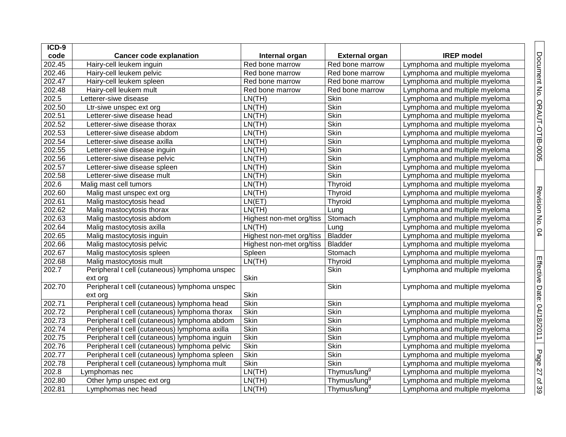| ICD-9  |                                               |                          |                          |                               |
|--------|-----------------------------------------------|--------------------------|--------------------------|-------------------------------|
| code   | <b>Cancer code explanation</b>                | Internal organ           | <b>External organ</b>    | <b>IREP</b> model             |
| 202.45 | Hairy-cell leukem inguin                      | Red bone marrow          | Red bone marrow          | Lymphoma and multiple myeloma |
| 202.46 | Hairy-cell leukem pelvic                      | Red bone marrow          | Red bone marrow          | Lymphoma and multiple myeloma |
| 202.47 | Hairy-cell leukem spleen                      | Red bone marrow          | Red bone marrow          | Lymphoma and multiple myeloma |
| 202.48 | Hairy-cell leukem mult                        | Red bone marrow          | Red bone marrow          | Lymphoma and multiple myeloma |
| 202.5  | Letterer-siwe disease                         | LN(TH)                   | Skin                     | Lymphoma and multiple myeloma |
| 202.50 | Ltr-siwe unspec ext org                       | LN(TH)                   | Skin                     | Lymphoma and multiple myeloma |
| 202.51 | Letterer-siwe disease head                    | LN(TH)                   | <b>Skin</b>              | Lymphoma and multiple myeloma |
| 202.52 | Letterer-siwe disease thorax                  | LN(TH)                   | Skin                     | Lymphoma and multiple myeloma |
| 202.53 | Letterer-siwe disease abdom                   | LN(TH)                   | Skin                     | Lymphoma and multiple myeloma |
| 202.54 | Letterer-siwe disease axilla                  | LN(TH)                   | Skin                     | Lymphoma and multiple myeloma |
| 202.55 | Letterer-siwe disease inguin                  | LN(TH)                   | <b>Skin</b>              | Lymphoma and multiple myeloma |
| 202.56 | Letterer-siwe disease pelvic                  | LN(TH)                   | Skin                     | Lymphoma and multiple myeloma |
| 202.57 | Letterer-siwe disease spleen                  | LN(TH)                   | Skin                     | Lymphoma and multiple myeloma |
| 202.58 | Letterer-siwe disease mult                    | LN(TH)                   | <b>Skin</b>              | Lymphoma and multiple myeloma |
| 202.6  | Malig mast cell tumors                        | LN(TH)                   | Thyroid                  | Lymphoma and multiple myeloma |
| 202.60 | Malig mast unspec ext org                     | LN(TH)                   | Thyroid                  | Lymphoma and multiple myeloma |
| 202.61 | Malig mastocytosis head                       | LN(ET)                   | Thyroid                  | Lymphoma and multiple myeloma |
| 202.62 | Malig mastocytosis thorax                     | LN(TH)                   | Lung                     | Lymphoma and multiple myeloma |
| 202.63 | Malig mastocytosis abdom                      | Highest non-met org/tiss | Stomach                  | Lymphoma and multiple myeloma |
| 202.64 | Malig mastocytosis axilla                     | LN(TH)                   | Lung                     | Lymphoma and multiple myeloma |
| 202.65 | Malig mastocytosis inguin                     | Highest non-met org/tiss | <b>Bladder</b>           | Lymphoma and multiple myeloma |
| 202.66 | Malig mastocytosis pelvic                     | Highest non-met org/tiss | <b>Bladder</b>           | Lymphoma and multiple myeloma |
| 202.67 | Malig mastocytosis spleen                     | Spleen                   | Stomach                  | Lymphoma and multiple myeloma |
| 202.68 | Malig mastocytosis mult                       | LN(TH)                   | Thyroid                  | Lymphoma and multiple myeloma |
| 202.7  | Peripheral t cell (cutaneous) lymphoma unspec |                          | <b>Skin</b>              | Lymphoma and multiple myeloma |
|        | ext org                                       | Skin                     |                          |                               |
| 202.70 | Peripheral t cell (cutaneous) lymphoma unspec |                          | Skin                     | Lymphoma and multiple myeloma |
|        | ext org                                       | Skin                     |                          |                               |
| 202.71 | Peripheral t cell (cutaneous) lymphoma head   | <b>Skin</b>              | Skin                     | Lymphoma and multiple myeloma |
| 202.72 | Peripheral t cell (cutaneous) lymphoma thorax | <b>Skin</b>              | Skin                     | Lymphoma and multiple myeloma |
| 202.73 | Peripheral t cell (cutaneous) lymphoma abdom  | <b>Skin</b>              | <b>Skin</b>              | Lymphoma and multiple myeloma |
| 202.74 | Peripheral t cell (cutaneous) lymphoma axilla | <b>Skin</b>              | <b>Skin</b>              | Lymphoma and multiple myeloma |
| 202.75 | Peripheral t cell (cutaneous) lymphoma inguin | <b>Skin</b>              | Skin                     | Lymphoma and multiple myeloma |
| 202.76 | Peripheral t cell (cutaneous) lymphoma pelvic | <b>Skin</b>              | Skin                     | Lymphoma and multiple myeloma |
| 202.77 | Peripheral t cell (cutaneous) lymphoma spleen | <b>Skin</b>              | <b>Skin</b>              | Lymphoma and multiple myeloma |
| 202.78 | Peripheral t cell (cutaneous) lymphoma mult   | <b>Skin</b>              | Skin                     | Lymphoma and multiple myeloma |
| 202.8  | Lymphomas nec                                 | LN(TH)                   | Thymus/lung <sup>9</sup> | Lymphoma and multiple myeloma |
| 202.80 | Other lymp unspec ext org                     | LN(TH)                   | Thymus/lung <sup>g</sup> | Lymphoma and multiple myeloma |
| 202.81 | Lymphomas nec head                            | LN(TH)                   | Thymus/lung <sup>g</sup> | Lymphoma and multiple myeloma |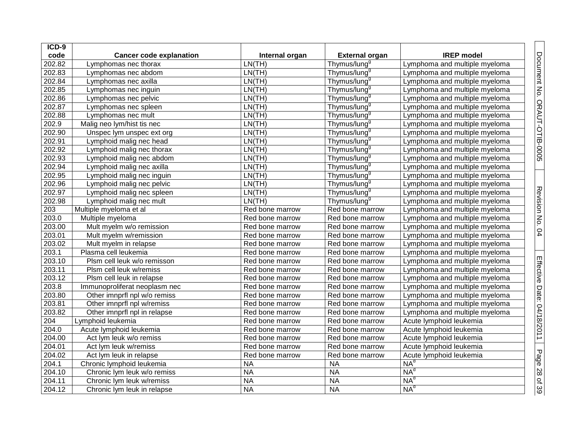| ICD-9  |                                |                 |                          |                               |
|--------|--------------------------------|-----------------|--------------------------|-------------------------------|
| code   | <b>Cancer code explanation</b> | Internal organ  | <b>External organ</b>    | <b>IREP</b> model             |
| 202.82 | Lymphomas nec thorax           | LN(TH)          | Thymus/lung <sup>9</sup> | Lymphoma and multiple myeloma |
| 202.83 | Lymphomas nec abdom            | LN(TH)          | Thymus/lung <sup>9</sup> | Lymphoma and multiple myeloma |
| 202.84 | Lymphomas nec axilla           | LN(TH)          | Thymus/lung <sup>9</sup> | Lymphoma and multiple myeloma |
| 202.85 | Lymphomas nec inguin           | LN(TH)          | Thymus/lung <sup>9</sup> | Lymphoma and multiple myeloma |
| 202.86 | Lymphomas nec pelvic           | LN(TH)          | Thymus/lung <sup>9</sup> | Lymphoma and multiple myeloma |
| 202.87 | Lymphomas nec spleen           | LN(TH)          | Thymus/lung <sup>9</sup> | Lymphoma and multiple myeloma |
| 202.88 | Lymphomas nec mult             | LN(TH)          | Thymus/lung <sup>9</sup> | Lymphoma and multiple myeloma |
| 202.9  | Malig neo lym/hist tis nec     | LN(TH)          | Thymus/lung <sup>9</sup> | Lymphoma and multiple myeloma |
| 202.90 | Unspec lym unspec ext org      | LN(TH)          | Thymus/lung <sup>9</sup> | Lymphoma and multiple myeloma |
| 202.91 | Lymphoid malig nec head        | LN(TH)          | Thymus/lung <sup>9</sup> | Lymphoma and multiple myeloma |
| 202.92 | Lymphoid malig nec thorax      | LN(TH)          | Thymus/lung <sup>9</sup> | Lymphoma and multiple myeloma |
| 202.93 | Lymphoid malig nec abdom       | LN(TH)          | Thymus/lung <sup>9</sup> | Lymphoma and multiple myeloma |
| 202.94 | Lymphoid malig nec axilla      | LN(TH)          | Thymus/lung <sup>9</sup> | Lymphoma and multiple myeloma |
| 202.95 | Lymphoid malig nec inguin      | LN(TH)          | Thymus/lung <sup>9</sup> | Lymphoma and multiple myeloma |
| 202.96 | Lymphoid malig nec pelvic      | LN(TH)          | Thymus/lung <sup>9</sup> | Lymphoma and multiple myeloma |
| 202.97 | Lymphoid malig nec spleen      | LN(TH)          | Thymus/lung <sup>9</sup> | Lymphoma and multiple myeloma |
| 202.98 | Lymphoid malig nec mult        | LN(TH)          | Thymus/lung <sup>9</sup> | Lymphoma and multiple myeloma |
| 203    | Multiple myeloma et al         | Red bone marrow | Red bone marrow          | Lymphoma and multiple myeloma |
| 203.0  | Multiple myeloma               | Red bone marrow | Red bone marrow          | Lymphoma and multiple myeloma |
| 203.00 | Mult myelm w/o remission       | Red bone marrow | Red bone marrow          | Lymphoma and multiple myeloma |
| 203.01 | Mult myelm w/remission         | Red bone marrow | Red bone marrow          | Lymphoma and multiple myeloma |
| 203.02 | Mult myelm in relapse          | Red bone marrow | Red bone marrow          | Lymphoma and multiple myeloma |
| 203.1  | Plasma cell leukemia           | Red bone marrow | Red bone marrow          | Lymphoma and multiple myeloma |
| 203.10 | Plsm cell leuk w/o remisson    | Red bone marrow | Red bone marrow          | Lymphoma and multiple myeloma |
| 203.11 | Plsm cell leuk w/remiss        | Red bone marrow | Red bone marrow          | Lymphoma and multiple myeloma |
| 203.12 | Plsm cell leuk in relapse      | Red bone marrow | Red bone marrow          | Lymphoma and multiple myeloma |
| 203.8  | Immunoproliferat neoplasm nec  | Red bone marrow | Red bone marrow          | Lymphoma and multiple myeloma |
| 203.80 | Other imnprfl npl w/o remiss   | Red bone marrow | Red bone marrow          | Lymphoma and multiple myeloma |
| 203.81 | Other imnprfl npl w/remiss     | Red bone marrow | Red bone marrow          | Lymphoma and multiple myeloma |
| 203.82 | Other imnprfl npl in relapse   | Red bone marrow | Red bone marrow          | Lymphoma and multiple myeloma |
| 204    | Lymphoid leukemia              | Red bone marrow | Red bone marrow          | Acute lymphoid leukemia       |
| 204.0  | Acute lymphoid leukemia        | Red bone marrow | Red bone marrow          | Acute lymphoid leukemia       |
| 204.00 | Act lym leuk w/o remiss        | Red bone marrow | Red bone marrow          | Acute lymphoid leukemia       |
| 204.01 | Act lym leuk w/remiss          | Red bone marrow | Red bone marrow          | Acute lymphoid leukemia       |
| 204.02 | Act lym leuk in relapse        | Red bone marrow | Red bone marrow          | Acute lymphoid leukemia       |
| 204.1  | Chronic lymphoid leukemia      | <b>NA</b>       | <b>NA</b>                | $NA^d$                        |
| 204.10 | Chronic lym leuk w/o remiss    | <b>NA</b>       | <b>NA</b>                | NA <sup>d</sup>               |
| 204.11 | Chronic lym leuk w/remiss      | <b>NA</b>       | <b>NA</b>                | $NA^d$                        |
| 204.12 | Chronic lym leuk in relapse    | <b>NA</b>       | <b>NA</b>                | $NA^d$                        |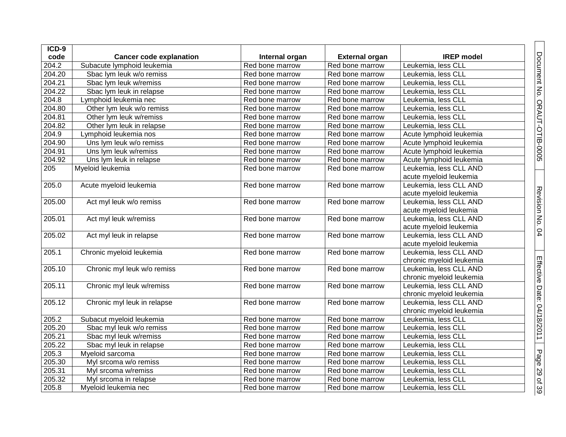| ICD-9  |                                |                 |                       |                          |
|--------|--------------------------------|-----------------|-----------------------|--------------------------|
| code   | <b>Cancer code explanation</b> | Internal organ  | <b>External organ</b> | <b>IREP</b> model        |
| 204.2  | Subacute lymphoid leukemia     | Red bone marrow | Red bone marrow       | Leukemia, less CLL       |
| 204.20 | Sbac lym leuk w/o remiss       | Red bone marrow | Red bone marrow       | Leukemia, less CLL       |
| 204.21 | Sbac lym leuk w/remiss         | Red bone marrow | Red bone marrow       | Leukemia, less CLL       |
| 204.22 | Sbac lym leuk in relapse       | Red bone marrow | Red bone marrow       | Leukemia, less CLL       |
| 204.8  | Lymphoid leukemia nec          | Red bone marrow | Red bone marrow       | Leukemia, less CLL       |
| 204.80 | Other lym leuk w/o remiss      | Red bone marrow | Red bone marrow       | Leukemia, less CLL       |
| 204.81 | Other lym leuk w/remiss        | Red bone marrow | Red bone marrow       | Leukemia, less CLL       |
| 204.82 | Other lym leuk in relapse      | Red bone marrow | Red bone marrow       | Leukemia, less CLL       |
| 204.9  | Lymphoid leukemia nos          | Red bone marrow | Red bone marrow       | Acute lymphoid leukemia  |
| 204.90 | Uns lym leuk w/o remiss        | Red bone marrow | Red bone marrow       | Acute lymphoid leukemia  |
| 204.91 | Uns lym leuk w/remiss          | Red bone marrow | Red bone marrow       | Acute lymphoid leukemia  |
| 204.92 | Uns lym leuk in relapse        | Red bone marrow | Red bone marrow       | Acute lymphoid leukemia  |
| 205    | Myeloid leukemia               | Red bone marrow | Red bone marrow       | Leukemia, less CLL AND   |
|        |                                |                 |                       | acute myeloid leukemia   |
| 205.0  | Acute myeloid leukemia         | Red bone marrow | Red bone marrow       | Leukemia, less CLL AND   |
|        |                                |                 |                       | acute myeloid leukemia   |
| 205.00 | Act myl leuk w/o remiss        | Red bone marrow | Red bone marrow       | Leukemia, less CLL AND   |
|        |                                |                 |                       | acute myeloid leukemia   |
| 205.01 | Act myl leuk w/remiss          | Red bone marrow | Red bone marrow       | Leukemia, less CLL AND   |
|        |                                |                 |                       | acute myeloid leukemia   |
| 205.02 | Act myl leuk in relapse        | Red bone marrow | Red bone marrow       | Leukemia, less CLL AND   |
|        |                                |                 |                       | acute myeloid leukemia   |
| 205.1  | Chronic myeloid leukemia       | Red bone marrow | Red bone marrow       | Leukemia, less CLL AND   |
|        |                                |                 |                       | chronic myeloid leukemia |
| 205.10 | Chronic myl leuk w/o remiss    | Red bone marrow | Red bone marrow       | Leukemia, less CLL AND   |
|        |                                |                 |                       | chronic myeloid leukemia |
| 205.11 | Chronic myl leuk w/remiss      | Red bone marrow | Red bone marrow       | Leukemia, less CLL AND   |
|        |                                |                 |                       | chronic myeloid leukemia |
| 205.12 | Chronic myl leuk in relapse    | Red bone marrow | Red bone marrow       | Leukemia, less CLL AND   |
|        |                                |                 |                       | chronic myeloid leukemia |
| 205.2  | Subacut myeloid leukemia       | Red bone marrow | Red bone marrow       | Leukemia, less CLL       |
| 205.20 | Sbac myl leuk w/o remiss       | Red bone marrow | Red bone marrow       | Leukemia, less CLL       |
| 205.21 | Sbac myl leuk w/remiss         | Red bone marrow | Red bone marrow       | Leukemia, less CLL       |
| 205.22 | Sbac myl leuk in relapse       | Red bone marrow | Red bone marrow       | Leukemia, less CLL       |
| 205.3  | Myeloid sarcoma                | Red bone marrow | Red bone marrow       | Leukemia, less CLL       |
| 205.30 | Myl srcoma w/o remiss          | Red bone marrow | Red bone marrow       | Leukemia, less CLL       |
| 205.31 | Myl srcoma w/remiss            | Red bone marrow | Red bone marrow       | Leukemia, less CLL       |
| 205.32 | Myl srcoma in relapse          | Red bone marrow | Red bone marrow       | Leukemia, less CLL       |
| 205.8  | Myeloid leukemia nec           | Red bone marrow | Red bone marrow       | Leukemia, less CLL       |

Document No. ORAUT-OTIB-0005 | Revision No. 04

Revision No. 04 Effective Date: 04/18/2011

Page 29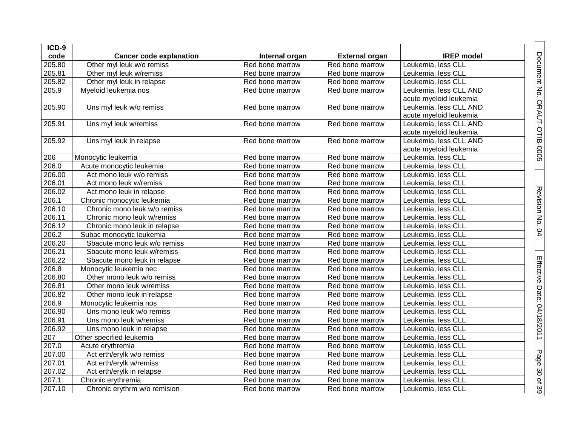| ICD-9  |                                |                 |                       |                        |                              |
|--------|--------------------------------|-----------------|-----------------------|------------------------|------------------------------|
| code   | <b>Cancer code explanation</b> | Internal organ  | <b>External organ</b> | <b>IREP</b> model      | Document No. ORAUT-OTIB-0005 |
| 205.80 | Other myl leuk w/o remiss      | Red bone marrow | Red bone marrow       | Leukemia, less CLL     |                              |
| 205.81 | Other myl leuk w/remiss        | Red bone marrow | Red bone marrow       | Leukemia, less CLL     |                              |
| 205.82 | Other myl leuk in relapse      | Red bone marrow | Red bone marrow       | Leukemia, less CLL     |                              |
| 205.9  | Myeloid leukemia nos           | Red bone marrow | Red bone marrow       | Leukemia, less CLL AND |                              |
|        |                                |                 |                       | acute myeloid leukemia |                              |
| 205.90 | Uns myl leuk w/o remiss        | Red bone marrow | Red bone marrow       | Leukemia, less CLL AND |                              |
|        |                                |                 |                       | acute myeloid leukemia |                              |
| 205.91 | Uns myl leuk w/remiss          | Red bone marrow | Red bone marrow       | Leukemia, less CLL AND |                              |
|        |                                |                 |                       | acute myeloid leukemia |                              |
| 205.92 | Uns myl leuk in relapse        | Red bone marrow | Red bone marrow       | Leukemia, less CLL AND |                              |
|        |                                |                 |                       | acute myeloid leukemia |                              |
| 206    | Monocytic leukemia             | Red bone marrow | Red bone marrow       | Leukemia, less CLL     |                              |
| 206.0  | Acute monocytic leukemia       | Red bone marrow | Red bone marrow       | Leukemia, less CLL     |                              |
| 206.00 | Act mono leuk w/o remiss       | Red bone marrow | Red bone marrow       | Leukemia, less CLL     |                              |
| 206.01 | Act mono leuk w/remiss         | Red bone marrow | Red bone marrow       | Leukemia, less CLL     |                              |
| 206.02 | Act mono leuk in relapse       | Red bone marrow | Red bone marrow       | Leukemia, less CLL     |                              |
| 206.1  | Chronic monocytic leukemia     | Red bone marrow | Red bone marrow       | Leukemia, less CLL     |                              |
| 206.10 | Chronic mono leuk w/o remiss   | Red bone marrow | Red bone marrow       | Leukemia, less CLL     |                              |
| 206.11 | Chronic mono leuk w/remiss     | Red bone marrow | Red bone marrow       | Leukemia, less CLL     | Revision No. 04              |
| 206.12 | Chronic mono leuk in relapse   | Red bone marrow | Red bone marrow       | Leukemia, less CLL     |                              |
| 206.2  | Subac monocytic leukemia       | Red bone marrow | Red bone marrow       | Leukemia, less CLL     |                              |
| 206.20 | Sbacute mono leuk w/o remiss   | Red bone marrow | Red bone marrow       | Leukemia, less CLL     |                              |
| 206.21 | Sbacute mono leuk w/remiss     | Red bone marrow | Red bone marrow       | Leukemia, less CLL     |                              |
| 206.22 | Sbacute mono leuk in relapse   | Red bone marrow | Red bone marrow       | Leukemia, less CLL     |                              |
| 206.8  | Monocytic leukemia nec         | Red bone marrow | Red bone marrow       | Leukemia, less CLL     |                              |
| 206.80 | Other mono leuk w/o remiss     | Red bone marrow | Red bone marrow       | Leukemia, less CLL     |                              |
| 206.81 | Other mono leuk w/remiss       | Red bone marrow | Red bone marrow       | Leukemia, less CLL     |                              |
| 206.82 | Other mono leuk in relapse     | Red bone marrow | Red bone marrow       | Leukemia, less CLL     |                              |
| 206.9  | Monocytic leukemia nos         | Red bone marrow | Red bone marrow       | Leukemia, less CLL     | Effective Date: 04/18/2011   |
| 206.90 | Uns mono leuk w/o remiss       | Red bone marrow | Red bone marrow       | Leukemia, less CLL     |                              |
| 206.91 | Uns mono leuk w/remiss         | Red bone marrow | Red bone marrow       | Leukemia, less CLL     |                              |
| 206.92 | Uns mono leuk in relapse       | Red bone marrow | Red bone marrow       | Leukemia, less CLL     |                              |
| 207    | Other specified leukemia       | Red bone marrow | Red bone marrow       | Leukemia, less CLL     |                              |
| 207.0  | Acute erythremia               | Red bone marrow | Red bone marrow       | Leukemia, less CLL     |                              |
| 207.00 | Act erth/erylk w/o remiss      | Red bone marrow | Red bone marrow       | Leukemia, less CLL     |                              |
| 207.01 | Act erth/erylk w/remiss        | Red bone marrow | Red bone marrow       | Leukemia, less CLL     |                              |
| 207.02 | Act erth/erylk in relapse      | Red bone marrow | Red bone marrow       | Leukemia, less CLL     |                              |
| 207.1  | Chronic erythremia             | Red bone marrow | Red bone marrow       | Leukemia, less CLL     | Page 30 of 39                |
| 207.10 | Chronic erythrm w/o remision   | Red bone marrow | Red bone marrow       | Leukemia, less CLL     |                              |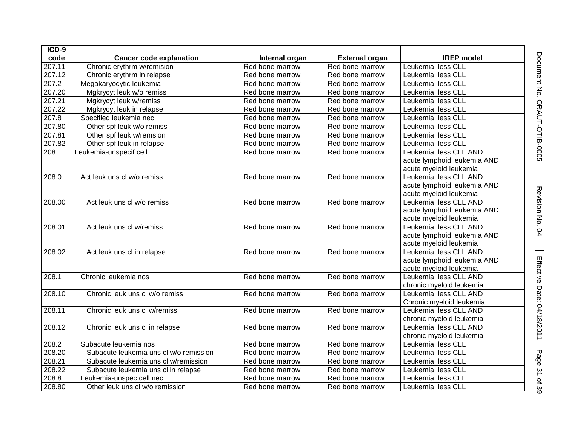| ICD-9  |                                        |                 |                       |                             |
|--------|----------------------------------------|-----------------|-----------------------|-----------------------------|
| code   | <b>Cancer code explanation</b>         | Internal organ  | <b>External organ</b> | <b>IREP</b> model           |
| 207.11 | Chronic erythrm w/remision             | Red bone marrow | Red bone marrow       | Leukemia, less CLL          |
| 207.12 | Chronic erythrm in relapse             | Red bone marrow | Red bone marrow       | Leukemia, less CLL          |
| 207.2  | Megakaryocytic leukemia                | Red bone marrow | Red bone marrow       | Leukemia, less CLL          |
| 207.20 | Mgkrycyt leuk w/o remiss               | Red bone marrow | Red bone marrow       | Leukemia, less CLL          |
| 207.21 | Mgkrycyt leuk w/remiss                 | Red bone marrow | Red bone marrow       | Leukemia, less CLL          |
| 207.22 | Mgkrycyt leuk in relapse               | Red bone marrow | Red bone marrow       | Leukemia, less CLL          |
| 207.8  | Specified leukemia nec                 | Red bone marrow | Red bone marrow       | Leukemia, less CLL          |
| 207.80 | Other spf leuk w/o remiss              | Red bone marrow | Red bone marrow       | Leukemia, less CLL          |
| 207.81 | Other spf leuk w/remsion               | Red bone marrow | Red bone marrow       | Leukemia, less CLL          |
| 207.82 | Other spf leuk in relapse              | Red bone marrow | Red bone marrow       | Leukemia, less CLL          |
| 208    | Leukemia-unspecif cell                 | Red bone marrow | Red bone marrow       | Leukemia, less CLL AND      |
|        |                                        |                 |                       | acute lymphoid leukemia AND |
|        |                                        |                 |                       | acute myeloid leukemia      |
| 208.0  | Act leuk uns cl w/o remiss             | Red bone marrow | Red bone marrow       | Leukemia, less CLL AND      |
|        |                                        |                 |                       | acute lymphoid leukemia AND |
|        |                                        |                 |                       | acute myeloid leukemia      |
| 208.00 | Act leuk uns cl w/o remiss             | Red bone marrow | Red bone marrow       | Leukemia, less CLL AND      |
|        |                                        |                 |                       | acute lymphoid leukemia AND |
|        |                                        |                 |                       | acute myeloid leukemia      |
| 208.01 | Act leuk uns cl w/remiss               | Red bone marrow | Red bone marrow       | Leukemia, less CLL AND      |
|        |                                        |                 |                       | acute lymphoid leukemia AND |
|        |                                        |                 |                       | acute myeloid leukemia      |
| 208.02 | Act leuk uns cl in relapse             | Red bone marrow | Red bone marrow       | Leukemia, less CLL AND      |
|        |                                        |                 |                       | acute lymphoid leukemia AND |
|        |                                        |                 |                       | acute myeloid leukemia      |
| 208.1  | Chronic leukemia nos                   | Red bone marrow | Red bone marrow       | Leukemia, less CLL AND      |
|        |                                        |                 |                       | chronic myeloid leukemia    |
| 208.10 | Chronic leuk uns cl w/o remiss         | Red bone marrow | Red bone marrow       | Leukemia, less CLL AND      |
|        |                                        |                 |                       | Chronic myeloid leukemia    |
| 208.11 | Chronic leuk uns cl w/remiss           | Red bone marrow | Red bone marrow       | Leukemia, less CLL AND      |
|        |                                        |                 |                       | chronic myeloid leukemia    |
| 208.12 | Chronic leuk uns cl in relapse         | Red bone marrow | Red bone marrow       | Leukemia, less CLL AND      |
|        |                                        |                 |                       | chronic myeloid leukemia    |
| 208.2  | Subacute leukemia nos                  | Red bone marrow | Red bone marrow       | Leukemia, less CLL          |
| 208.20 | Subacute leukemia uns cl w/o remission | Red bone marrow | Red bone marrow       | Leukemia, less CLL          |
| 208.21 | Subacute leukemia uns cl w/remission   | Red bone marrow | Red bone marrow       | Leukemia, less CLL          |
| 208.22 | Subacute leukemia uns cl in relapse    | Red bone marrow | Red bone marrow       | Leukemia, less CLL          |
| 208.8  | Leukemia-unspec cell nec               | Red bone marrow | Red bone marrow       | Leukemia, less CLL          |
| 208.80 | Other leuk uns cl w/o remission        | Red bone marrow | Red bone marrow       | Leukemia, less CLL          |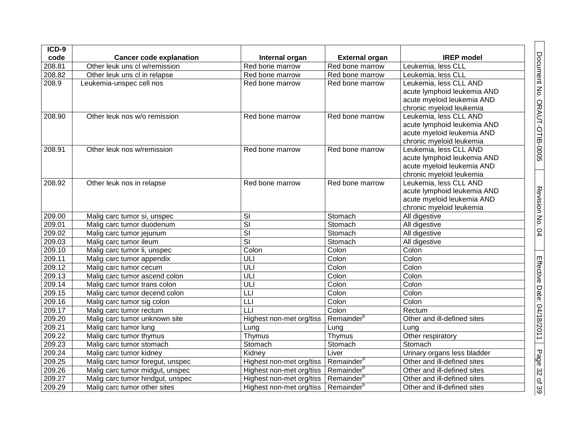| ICD-9  |                                                       |                          |                        |                                                    |
|--------|-------------------------------------------------------|--------------------------|------------------------|----------------------------------------------------|
| code   | <b>Cancer code explanation</b>                        | Internal organ           | <b>External organ</b>  | <b>IREP</b> model                                  |
| 208.81 | Other leuk uns cl w/remission                         | Red bone marrow          | Red bone marrow        | Leukemia, less CLL                                 |
| 208.82 | Other leuk uns cl in relapse                          | Red bone marrow          | Red bone marrow        | Leukemia, less CLL                                 |
| 208.9  | Leukemia-unspec cell nos                              | Red bone marrow          | Red bone marrow        | Leukemia, less CLL AND                             |
|        |                                                       |                          |                        | acute lymphoid leukemia AND                        |
|        |                                                       |                          |                        | acute myeloid leukemia AND                         |
|        |                                                       |                          |                        | chronic myeloid leukemia                           |
| 208.90 | Other leuk nos w/o remission                          | Red bone marrow          | Red bone marrow        | Leukemia, less CLL AND                             |
|        |                                                       |                          |                        | acute lymphoid leukemia AND                        |
|        |                                                       |                          |                        | acute myeloid leukemia AND                         |
|        |                                                       |                          |                        | chronic myeloid leukemia                           |
| 208.91 | Other leuk nos w/remission                            | Red bone marrow          | Red bone marrow        | Leukemia, less CLL AND                             |
|        |                                                       |                          |                        | acute lymphoid leukemia AND                        |
|        |                                                       |                          |                        | acute myeloid leukemia AND                         |
|        |                                                       |                          | Red bone marrow        | chronic myeloid leukemia<br>Leukemia, less CLL AND |
| 208.92 | Other leuk nos in relapse                             | Red bone marrow          |                        | acute lymphoid leukemia AND                        |
|        |                                                       |                          |                        | acute myeloid leukemia AND                         |
|        |                                                       |                          |                        | chronic myeloid leukemia                           |
| 209.00 | Malig carc tumor si, unspec                           | SI                       | Stomach                | All digestive                                      |
| 209.01 | Malig carc tumor duodenum                             | $\overline{\mathsf{SI}}$ | Stomach                | All digestive                                      |
| 209.02 | Malig carc tumor jejunum                              | $\overline{\mathsf{SI}}$ | Stomach                | All digestive                                      |
| 209.03 | Malig carc tumor ileum                                | $\overline{\mathsf{SI}}$ | Stomach                | All digestive                                      |
| 209.10 | Malig carc tumor li, unspec                           | Colon                    | Colon                  | Colon                                              |
| 209.11 | Malig carc tumor appendix                             | ULI                      | Colon                  | Colon                                              |
| 209.12 | Malig carc tumor cecum                                | ULI                      | Colon                  | Colon                                              |
| 209.13 | Malig carc tumor ascend colon                         | ULI                      | Colon                  | Colon                                              |
| 209.14 | Malig carc tumor trans colon                          | ULI                      | Colon                  | Colon                                              |
| 209.15 | Malig carc tumor decend colon                         | L                        | Colon                  | Colon                                              |
| 209.16 |                                                       | LLI                      | Colon                  | Colon                                              |
| 209.17 | Malig carc tumor sig colon<br>Malig carc tumor rectum | LLI                      | Colon                  | Rectum                                             |
| 209.20 |                                                       |                          | Remainder <sup>b</sup> |                                                    |
|        | Malig carc tumor unknown site                         | Highest non-met org/tiss |                        | Other and ill-defined sites<br>Lung                |
| 209.21 | Malig carc tumor lung                                 | Lung                     | Lung                   |                                                    |
| 209.22 | Malig carc tumor thymus                               | Thymus                   | Thymus                 | Other respiratory                                  |
| 209.23 | Malig carc tumor stomach                              | Stomach                  | Stomach                | Stomach                                            |
| 209.24 | Malig carc tumor kidney                               | Kidney                   | Liver                  | Urinary organs less bladder                        |
| 209.25 | Malig carc tumor foregut, unspec                      | Highest non-met org/tiss | Remainder <sup>b</sup> | Other and ill-defined sites                        |
| 209.26 | Malig carc tumor midgut, unspec                       | Highest non-met org/tiss | Remainder <sup>b</sup> | Other and ill-defined sites                        |
| 209.27 | Malig carc tumor hindgut, unspec                      | Highest non-met org/tiss | Remainder <sup>b</sup> | Other and ill-defined sites                        |
| 209.29 | Malig carc tumor other sites                          | Highest non-met org/tiss | Remainder <sup>t</sup> | Other and ill-defined sites                        |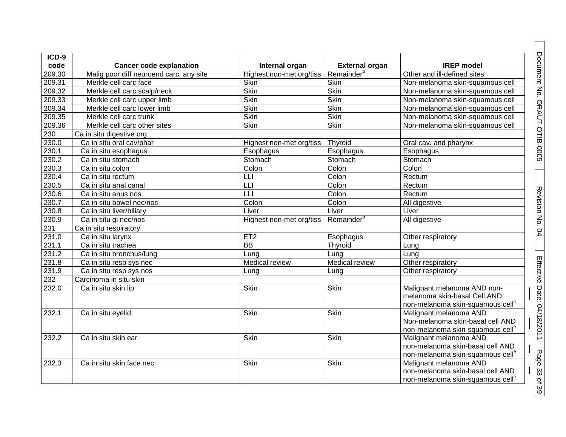| $ICD-9$          |                                         |                          |                        |                                                            |
|------------------|-----------------------------------------|--------------------------|------------------------|------------------------------------------------------------|
| code             | <b>Cancer code explanation</b>          | Internal organ           | <b>External organ</b>  | <b>IREP</b> model                                          |
| 209.30           | Malig poor diff neuroend carc, any site | Highest non-met org/tiss | Remainder <sup>b</sup> | Other and ill-defined sites                                |
| 209.31           | Merkle cell carc face                   | <b>Skin</b>              | <b>Skin</b>            | Non-melanoma skin-squamous cell                            |
| 209.32           | Merkle cell carc scalp/neck             | <b>Skin</b>              | <b>Skin</b>            | Non-melanoma skin-squamous cell                            |
| 209.33           | Merkle cell carc upper limb             | <b>Skin</b>              | <b>Skin</b>            | Non-melanoma skin-squamous cell                            |
| 209.34           | Merkle cell carc lower limb             | <b>Skin</b>              | <b>Skin</b>            | Non-melanoma skin-squamous cell                            |
| 209.35           | Merkle cell carc trunk                  | <b>Skin</b>              | <b>Skin</b>            | Non-melanoma skin-squamous cell                            |
| 209.36           | Merkle cell carc other sites            | <b>Skin</b>              | <b>Skin</b>            | Non-melanoma skin-squamous cell                            |
| 230              | Ca in situ digestive org                |                          |                        |                                                            |
| 230.0            | Ca in situ oral cav/phar                | Highest non-met org/tiss | Thyroid                | Oral cav. and pharynx                                      |
| 230.1            | Ca in situ esophagus                    | Esophagus                | Esophagus              | Esophagus                                                  |
| 230.2            | Ca in situ stomach                      | Stomach                  | Stomach                | Stomach                                                    |
| 230.3            | Ca in situ colon                        | Colon                    | Colon                  | Colon                                                      |
| 230.4            | Ca in situ rectum                       | LLI                      | Colon                  | Rectum                                                     |
| 230.5            | Ca in situ anal canal                   | $\overline{\mathsf{L}}$  | Colon                  | Rectum                                                     |
| 230.6            | Ca in situ anus nos                     | $\overline{\mathsf{L}}$  | Colon                  | Rectum                                                     |
| 230.7            | Ca in situ bowel nec/nos                | Colon                    | Colon                  | All digestive                                              |
| 230.8            | Ca in situ liver/biliary                | Liver                    | Liver                  | Liver                                                      |
| 230.9            | Ca in situ gi nec/nos                   | Highest non-met org/tiss | Remainder <sup>b</sup> | All digestive                                              |
| 231              | Ca in situ respiratory                  |                          |                        |                                                            |
| 231.0            | Ca in situ larynx                       | ET <sub>2</sub>          | Esophagus              | Other respiratory                                          |
| 231.1            | Ca in situ trachea                      | $\overline{BB}$          | Thyroid                | Lung                                                       |
| 231.2            | Ca in situ bronchus/lung                | Lung                     | Lung                   | Lung                                                       |
| 231.8            | Ca in situ resp sys nec                 | Medical review           | Medical review         | Other respiratory                                          |
| 231.9            | Ca in situ resp sys nos                 | Lung                     | Lung                   | Other respiratory                                          |
| $\overline{232}$ | Carcinoma in situ skin                  |                          |                        |                                                            |
| 232.0            | Ca in situ skin lip                     | Skin                     | <b>Skin</b>            | Malignant melanoma AND non-                                |
|                  |                                         |                          |                        | melanoma skin-basal Cell AND                               |
|                  |                                         |                          |                        | non-melanoma skin-squamous cell <sup>e</sup>               |
| 232.1            | Ca in situ eyelid                       | Skin                     | <b>Skin</b>            | Malignant melanoma AND                                     |
|                  |                                         |                          |                        | Non-melanoma skin-basal cell AND                           |
|                  |                                         |                          |                        | non-melanoma skin-squamous cell <sup>e</sup>               |
| 232.2            | Ca in situ skin ear                     | Skin                     | Skin                   | Malignant melanoma AND<br>non-melanoma skin-basal cell AND |
|                  |                                         |                          |                        |                                                            |
|                  |                                         |                          |                        | non-melanoma skin-squamous cell <sup>e</sup>               |
| 232.3            | Ca in situ skin face nec                | Skin                     | Skin                   | Malignant melanoma AND                                     |
|                  |                                         |                          |                        | non-melanoma skin-basal cell AND                           |
|                  |                                         |                          |                        | non-melanoma skin-squamous cell <sup>e</sup>               |

Revision No. 04 Effective Date: 04/1

8/2011

Page 33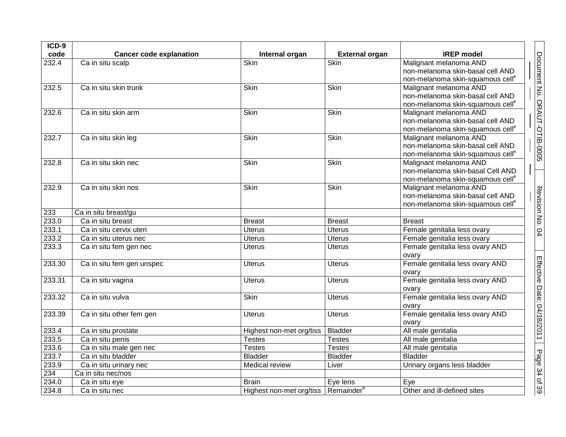| $ICD-9$        |                                                  |                                                   |                                |                                              |                              |
|----------------|--------------------------------------------------|---------------------------------------------------|--------------------------------|----------------------------------------------|------------------------------|
| code           | <b>Cancer code explanation</b>                   | Internal organ                                    | <b>External organ</b>          | <b>IREP</b> model                            |                              |
| 232.4          | Ca in situ scalp                                 | Skin                                              | Skin                           | Malignant melanoma AND                       | Document No. ORAUT-OTIB-0005 |
|                |                                                  |                                                   |                                | non-melanoma skin-basal cell AND             |                              |
|                |                                                  |                                                   |                                | non-melanoma skin-squamous cell <sup>e</sup> |                              |
| 232.5          | Ca in situ skin trunk                            | Skin                                              | <b>Skin</b>                    | Malignant melanoma AND                       |                              |
|                |                                                  |                                                   |                                | non-melanoma skin-basal cell AND             |                              |
|                |                                                  |                                                   |                                | non-melanoma skin-squamous cell <sup>e</sup> |                              |
| 232.6          | Ca in situ skin arm                              | <b>Skin</b>                                       | <b>Skin</b>                    | Malignant melanoma AND                       |                              |
|                |                                                  |                                                   |                                | non-melanoma skin-basal cell AND             |                              |
|                |                                                  |                                                   |                                | non-melanoma skin-squamous cell <sup>e</sup> |                              |
| 232.7          | Ca in situ skin leg                              | Skin                                              | Skin                           | Malignant melanoma AND                       |                              |
|                |                                                  |                                                   |                                | non-melanoma skin-basal cell AND             |                              |
|                |                                                  |                                                   |                                | non-melanoma skin-squamous cell <sup>e</sup> |                              |
| 232.8          | Ca in situ skin nec                              | <b>Skin</b>                                       | <b>Skin</b>                    | Malignant melanoma AND                       |                              |
|                |                                                  |                                                   |                                | non-melanoma skin-basal Cell AND             |                              |
|                |                                                  |                                                   |                                | non-melanoma skin-squamous cell <sup>e</sup> |                              |
| 232.9          | Ca in situ skin nos                              | Skin                                              | Skin                           | Malignant melanoma AND                       |                              |
|                |                                                  |                                                   |                                | non-melanoma skin-basal cell AND             |                              |
|                |                                                  |                                                   |                                | non-melanoma skin-squamous cell <sup>e</sup> | Revision No. 04              |
| 233<br>233.0   | Ca in situ breast/gu<br>Ca in situ breast        |                                                   |                                |                                              |                              |
|                |                                                  | <b>Breast</b><br><b>Uterus</b>                    | <b>Breast</b><br><b>Uterus</b> | <b>Breast</b>                                |                              |
| 233.1<br>233.2 | Ca in situ cervix uteri<br>Ca in situ uterus nec | <b>Uterus</b>                                     | <b>Uterus</b>                  | Female genitalia less ovary                  |                              |
|                |                                                  |                                                   |                                | Female genitalia less ovary                  |                              |
| 233.3          | Ca in situ fem gen nec                           | <b>Uterus</b>                                     | <b>Uterus</b>                  | Female genitalia less ovary AND              |                              |
| 233.30         |                                                  | <b>Uterus</b>                                     | <b>Uterus</b>                  | ovary<br>Female genitalia less ovary AND     |                              |
|                | Ca in situ fem gen unspec                        |                                                   |                                |                                              |                              |
| 233.31         | Ca in situ vagina                                | <b>Uterus</b>                                     | <b>Uterus</b>                  | ovary<br>Female genitalia less ovary AND     |                              |
|                |                                                  |                                                   |                                |                                              |                              |
| 233.32         | Ca in situ vulva                                 | Skin                                              | <b>Uterus</b>                  | ovary<br>Female genitalia less ovary AND     |                              |
|                |                                                  |                                                   |                                | ovary                                        |                              |
| 233.39         | Ca in situ other fem gen                         | <b>Uterus</b>                                     | <b>Uterus</b>                  | Female genitalia less ovary AND              |                              |
|                |                                                  |                                                   |                                | ovary                                        |                              |
| 233.4          | Ca in situ prostate                              | Highest non-met org/tiss                          | <b>Bladder</b>                 | All male genitalia                           | Effective Date: 04/18/2011   |
| 233.5          | Ca in situ penis                                 | <b>Testes</b>                                     | <b>Testes</b>                  | All male genitalia                           |                              |
| 233.6          | Ca in situ male gen nec                          | <b>Testes</b>                                     | <b>Testes</b>                  | All male genitalia                           |                              |
| 233.7          | Ca in situ bladder                               | <b>Bladder</b>                                    | <b>Bladder</b>                 | <b>Bladder</b>                               |                              |
| 233.9          | Ca in situ urinary nec                           | Medical review                                    | Liver                          | Urinary organs less bladder                  | Page 34 of 39                |
| 234            | Ca in situ nec/nos                               |                                                   |                                |                                              |                              |
| 234.0          | Ca in situ eye                                   | <b>Brain</b>                                      | Eye lens                       | Eye                                          |                              |
| 234.8          | Ca in situ nec                                   |                                                   |                                | Other and ill-defined sites                  |                              |
|                |                                                  | Highest non-met org/tiss   Remainder <sup>b</sup> |                                |                                              |                              |

Ξ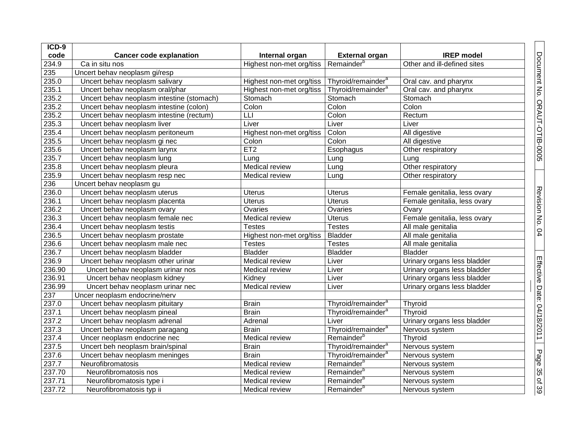| ICD-9  |                                           |                          |                                |                              |
|--------|-------------------------------------------|--------------------------|--------------------------------|------------------------------|
| code   | <b>Cancer code explanation</b>            | Internal organ           | <b>External organ</b>          | <b>IREP</b> model            |
| 234.9  | Ca in situ nos                            | Highest non-met org/tiss | Remainder <sup>b</sup>         | Other and ill-defined sites  |
| 235    | Uncert behav neoplasm gi/resp             |                          |                                |                              |
| 235.0  | Uncert behav neoplasm salivary            | Highest non-met org/tiss | Thyroid/remainder <sup>a</sup> | Oral cav. and pharynx        |
| 235.1  | Uncert behav neoplasm oral/phar           | Highest non-met org/tiss | Thyroid/remainder <sup>a</sup> | Oral cav. and pharynx        |
| 235.2  | Uncert behav neoplasm intestine (stomach) | Stomach                  | Stomach                        | Stomach                      |
| 235.2  | Uncert behav neoplasm intestine (colon)   | Colon                    | Colon                          | Colon                        |
| 235.2  | Uncert behav neoplasm intestine (rectum)  | LLI                      | Colon                          | Rectum                       |
| 235.3  | Uncert behav neoplasm liver               | Liver                    | Liver                          | Liver                        |
| 235.4  | Uncert behav neoplasm peritoneum          | Highest non-met org/tiss | Colon                          | All digestive                |
| 235.5  | Uncert behav neoplasm gi nec              | Colon                    | Colon                          | All digestive                |
| 235.6  | Uncert behav neoplasm larynx              | ET <sub>2</sub>          | Esophagus                      | Other respiratory            |
| 235.7  | Uncert behav neoplasm lung                | Lung                     | Lung                           | Lung                         |
| 235.8  | Uncert behav neoplasm pleura              | Medical review           | Lung                           | Other respiratory            |
| 235.9  | Uncert behav neoplasm resp nec            | Medical review           | Lung                           | Other respiratory            |
| 236    | Uncert behav neoplasm gu                  |                          |                                |                              |
| 236.0  | Uncert behav neoplasm uterus              | <b>Uterus</b>            | <b>Uterus</b>                  | Female genitalia, less ovary |
| 236.1  | Uncert behav neoplasm placenta            | <b>Uterus</b>            | <b>Uterus</b>                  | Female genitalia, less ovary |
| 236.2  | Uncert behav neoplasm ovary               | Ovaries                  | Ovaries                        | Ovary                        |
| 236.3  | Uncert behav neoplasm female nec          | Medical review           | Uterus                         | Female genitalia, less ovary |
| 236.4  | Uncert behav neoplasm testis              | <b>Testes</b>            | <b>Testes</b>                  | All male genitalia           |
| 236.5  | Uncert behav neoplasm prostate            | Highest non-met org/tiss | <b>Bladder</b>                 | All male genitalia           |
| 236.6  | Uncert behav neoplasm male nec            | <b>Testes</b>            | <b>Testes</b>                  | All male genitalia           |
| 236.7  | Uncert behav neoplasm bladder             | <b>Bladder</b>           | <b>Bladder</b>                 | <b>Bladder</b>               |
| 236.9  | Uncert behav neoplasm other urinar        | Medical review           | Liver                          | Urinary organs less bladder  |
| 236.90 | Uncert behav neoplasm urinar nos          | Medical review           | Liver                          | Urinary organs less bladder  |
| 236.91 | Uncert behav neoplasm kidney              | Kidney                   | Liver                          | Urinary organs less bladder  |
| 236.99 | Uncert behav neoplasm urinar nec          | Medical review           | Liver                          | Urinary organs less bladder  |
| 237    | Uncer neoplasm endocrine/nerv             |                          |                                |                              |
| 237.0  | Uncert behav neoplasm pituitary           | <b>Brain</b>             | Thyroid/remainder <sup>a</sup> | Thyroid                      |
| 237.1  | Uncert behav neoplasm pineal              | <b>Brain</b>             | Thyroid/remainder <sup>a</sup> | Thyroid                      |
| 237.2  | Uncert behav neoplasm adrenal             | Adrenal                  | Liver                          | Urinary organs less bladder  |
| 237.3  | Uncert behav neoplasm paragang            | <b>Brain</b>             | Thyroid/remainder <sup>a</sup> | Nervous system               |
| 237.4  | Uncer neoplasm endocrine nec              | Medical review           | Remainder <sup>b</sup>         | Thyroid                      |
| 237.5  | Uncert beh neoplasm brain/spinal          | <b>Brain</b>             | Thyroid/remainder <sup>a</sup> | Nervous system               |
| 237.6  | Uncert behav neoplasm meninges            | <b>Brain</b>             | Thyroid/remainder <sup>a</sup> | Nervous system               |
| 237.7  | Neurofibromatosis                         | Medical review           | Remainder <sup>b</sup>         | Nervous system               |
| 237.70 | Neurofibromatosis nos                     | Medical review           | Remainder <sup>b</sup>         | Nervous system               |
| 237.71 | Neurofibromatosis type i                  | Medical review           | Remainder <sup>b</sup>         | Nervous system               |
| 237.72 | Neurofibromatosis typ ii                  | Medical review           | Remainder <sup>b</sup>         | Nervous system               |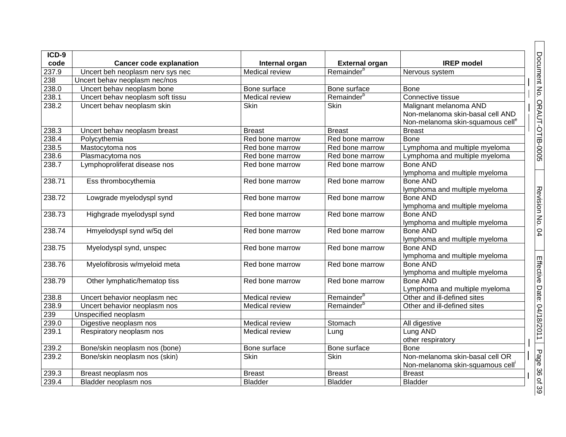| ICD-9<br>code | <b>Cancer code explanation</b>   | Internal organ        | <b>External organ</b>  | <b>IREP</b> model                                                                                          |  |
|---------------|----------------------------------|-----------------------|------------------------|------------------------------------------------------------------------------------------------------------|--|
| 237.9         | Uncert beh neoplasm nerv sys nec | <b>Medical review</b> | Remainder <sup>b</sup> | Nervous system                                                                                             |  |
| 238           | Uncert behav neoplasm nec/nos    |                       |                        |                                                                                                            |  |
| 238.0         | Uncert behav neoplasm bone       | Bone surface          | Bone surface           | <b>Bone</b>                                                                                                |  |
| 238.1         | Uncert behav neoplasm soft tissu | Medical review        | Remainder <sup>b</sup> | Connective tissue                                                                                          |  |
| 238.2         | Uncert behav neoplasm skin       | <b>Skin</b>           | <b>Skin</b>            | Malignant melanoma AND<br>Non-melanoma skin-basal cell AND<br>Non-melanoma skin-squamous cell <sup>e</sup> |  |
| 238.3         | Uncert behav neoplasm breast     | <b>Breast</b>         | <b>Breast</b>          | <b>Breast</b>                                                                                              |  |
| 238.4         | Polycythemia                     | Red bone marrow       | Red bone marrow        | <b>Bone</b>                                                                                                |  |
| 238.5         | Mastocytoma nos                  | Red bone marrow       | Red bone marrow        | Lymphoma and multiple myeloma                                                                              |  |
| 238.6         | Plasmacytoma nos                 | Red bone marrow       | Red bone marrow        | Lymphoma and multiple myeloma                                                                              |  |
| 238.7         | Lymphoproliferat disease nos     | Red bone marrow       | Red bone marrow        | <b>Bone AND</b><br>lymphoma and multiple myeloma                                                           |  |
| 238.71        | Ess thrombocythemia              | Red bone marrow       | Red bone marrow        | <b>Bone AND</b><br>lymphoma and multiple myeloma                                                           |  |
| 238.72        | Lowgrade myelodyspl synd         | Red bone marrow       | Red bone marrow        | <b>Bone AND</b><br>lymphoma and multiple myeloma                                                           |  |
| 238.73        | Highgrade myelodyspl synd        | Red bone marrow       | Red bone marrow        | <b>Bone AND</b><br>lymphoma and multiple myeloma                                                           |  |
| 238.74        | Hmyelodyspl synd w/5q del        | Red bone marrow       | Red bone marrow        | <b>Bone AND</b><br>lymphoma and multiple myeloma                                                           |  |
| 238.75        | Myelodyspl synd, unspec          | Red bone marrow       | Red bone marrow        | <b>Bone AND</b><br>lymphoma and multiple myeloma                                                           |  |
| 238.76        | Myelofibrosis w/myeloid meta     | Red bone marrow       | Red bone marrow        | <b>Bone AND</b><br>lymphoma and multiple myeloma                                                           |  |
| 238.79        | Other lymphatic/hematop tiss     | Red bone marrow       | Red bone marrow        | <b>Bone AND</b><br>Lymphoma and multiple myeloma                                                           |  |
| 238.8         | Uncert behavior neoplasm nec     | Medical review        | Remainder <sup>b</sup> | Other and ill-defined sites                                                                                |  |
| 238.9         | Uncert behavior neoplasm nos     | Medical review        | Remainder <sup>b</sup> | Other and ill-defined sites                                                                                |  |
| 239           | Unspecified neoplasm             |                       |                        |                                                                                                            |  |
| 239.0         | Digestive neoplasm nos           | Medical review        | Stomach                | All digestive                                                                                              |  |
| 239.1         | Respiratory neoplasm nos         | Medical review        | Lung                   | Lung AND<br>other respiratory                                                                              |  |
| 239.2         | Bone/skin neoplasm nos (bone)    | Bone surface          | Bone surface           | <b>Bone</b>                                                                                                |  |
| 239.2         | Bone/skin neoplasm nos (skin)    | Skin                  | Skin                   | Non-melanoma skin-basal cell OR<br>Non-melanoma skin-squamous cell'                                        |  |
| 239.3         | Breast neoplasm nos              | <b>Breast</b>         | <b>Breast</b>          | <b>Breast</b>                                                                                              |  |
| 239.4         | Bladder neoplasm nos             | <b>Bladder</b>        | <b>Bladder</b>         | <b>Bladder</b>                                                                                             |  |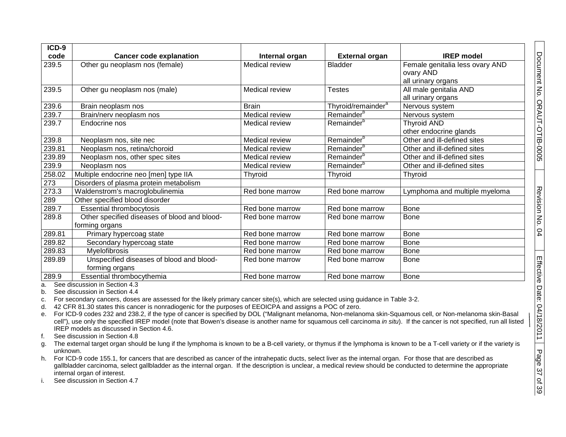| ICD-9  |                                              |                 |                                |                                 |
|--------|----------------------------------------------|-----------------|--------------------------------|---------------------------------|
| code   | <b>Cancer code explanation</b>               | Internal organ  | <b>External organ</b>          | <b>IREP</b> model               |
| 239.5  | Other gu neoplasm nos (female)               | Medical review  | <b>Bladder</b>                 | Female genitalia less ovary AND |
|        |                                              |                 |                                | ovary AND                       |
|        |                                              |                 |                                | all urinary organs              |
| 239.5  | Other gu neoplasm nos (male)                 | Medical review  | <b>Testes</b>                  | All male genitalia AND          |
|        |                                              |                 |                                | all urinary organs              |
| 239.6  | Brain neoplasm nos                           | <b>Brain</b>    | Thyroid/remainder <sup>a</sup> | Nervous system                  |
| 239.7  | Brain/nerv neoplasm nos                      | Medical review  | Remainder <sup>b</sup>         | Nervous system                  |
| 239.7  | Endocrine nos                                | Medical review  | Remainder <sup>b</sup>         | <b>Thyroid AND</b>              |
|        |                                              |                 |                                | other endocrine glands          |
| 239.8  | Neoplasm nos, site nec                       | Medical review  | Remainder <sup>b</sup>         | Other and ill-defined sites     |
| 239.81 | Neoplasm nos, retina/choroid                 | Medical review  | Remainder <sup>b</sup>         | Other and ill-defined sites     |
| 239.89 | Neoplasm nos, other spec sites               | Medical review  | Remainder <sup>b</sup>         | Other and ill-defined sites     |
| 239.9  | Neoplasm nos                                 | Medical review  | Remainder <sup>b</sup>         | Other and ill-defined sites     |
| 258.02 | Multiple endocrine neo [men] type IIA        | Thyroid         | Thyroid                        | <b>Thyroid</b>                  |
| 273    | Disorders of plasma protein metabolism       |                 |                                |                                 |
| 273.3  | Waldenstrom's macroglobulinemia              | Red bone marrow | Red bone marrow                | Lymphoma and multiple myeloma   |
| 289    | Other specified blood disorder               |                 |                                |                                 |
| 289.7  | <b>Essential thrombocytosis</b>              | Red bone marrow | Red bone marrow                | <b>Bone</b>                     |
| 289.8  | Other specified diseases of blood and blood- | Red bone marrow | Red bone marrow                | <b>Bone</b>                     |
|        | forming organs                               |                 |                                |                                 |
| 289.81 | Primary hypercoag state                      | Red bone marrow | Red bone marrow                | <b>Bone</b>                     |
| 289.82 | Secondary hypercoag state                    | Red bone marrow | Red bone marrow                | <b>Bone</b>                     |
| 289.83 | Myelofibrosis                                | Red bone marrow | Red bone marrow                | <b>Bone</b>                     |
| 289.89 | Unspecified diseases of blood and blood-     | Red bone marrow | Red bone marrow                | <b>Bone</b>                     |
|        | forming organs                               |                 |                                |                                 |
| 289.9  | Essential thrombocythemia                    | Red bone marrow | Red bone marrow                | <b>Bone</b>                     |

a. See discussion in Section 4.3

b. See discussion in Section 4.4

c. For secondary cancers, doses are assessed for the likely primary cancer site(s), which are selected using guidance in Table 3-2.

d. 42 CFR 81.30 states this cancer is nonradiogenic for the purposes of EEOICPA and assigns a POC of zero.

e. For ICD-9 codes 232 and 238.2, if the type of cancer is specified by DOL ("Malignant melanoma, Non-melanoma skin-Squamous cell, or Non-melanoma skin-Basal cell"), use only the specified IREP model (note that Bowen's disease is another name for squamous cell carcinoma *in situ*). If the cancer is not specified, run all listed IREP models as discussed in Section 4.6.

f. See discussion in Section 4.8

g. The external target organ should be lung if the lymphoma is known to be a B-cell variety, or thymus if the lymphoma is known to be a T-cell variety or if the variety is unknown.

h. For ICD-9 code 155.1, for cancers that are described as cancer of the intrahepatic ducts, select liver as the internal organ. For those that are described as gallbladder carcinoma, select gallbladder as the internal organ. If the description is unclear, a medical review should be conducted to determine the appropriate internal organ of interest.

i. See discussion in Section 4.7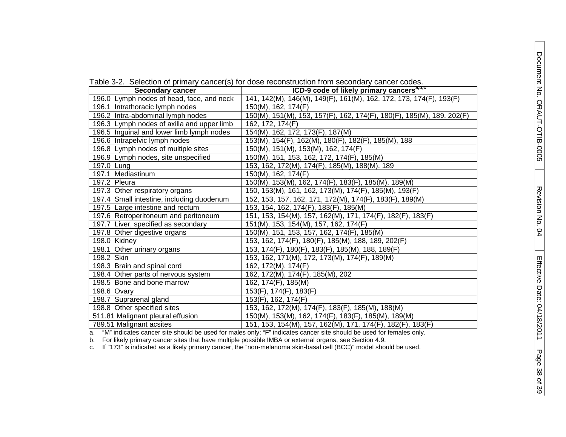|  |  |  |  |  |  | Table 3-2. Selection of primary cancer(s) for dose reconstruction from secondary cancer codes. |  |  |  |  |
|--|--|--|--|--|--|------------------------------------------------------------------------------------------------|--|--|--|--|
|--|--|--|--|--|--|------------------------------------------------------------------------------------------------|--|--|--|--|

| <b>Secondary cancer</b>                    | ICD-9 code of likely primary cancers <sup>a, D, C</sup>               |
|--------------------------------------------|-----------------------------------------------------------------------|
| 196.0 Lymph nodes of head, face, and neck  | 141, 142(M), 146(M), 149(F), 161(M), 162, 172, 173, 174(F), 193(F)    |
| 196.1 Intrathoracic lymph nodes            | 150(M), 162, 174(F)                                                   |
| 196.2 Intra-abdominal lymph nodes          | 150(M), 151(M), 153, 157(F), 162, 174(F), 180(F), 185(M), 189, 202(F) |
| 196.3 Lymph nodes of axilla and upper limb | 162, 172, 174(F)                                                      |
| 196.5 Inguinal and lower limb lymph nodes  | 154(M), 162, 172, 173(F), 187(M)                                      |
| 196.6 Intrapelvic lymph nodes              | 153(M), 154(F), 162(M), 180(F), 182(F), 185(M), 188                   |
| 196.8 Lymph nodes of multiple sites        | 150(M), 151(M), 153(M), 162, 174(F)                                   |
| 196.9 Lymph nodes, site unspecified        | 150(M), 151, 153, 162, 172, 174(F), 185(M)                            |
| 197.0 Lung                                 | 153, 162, 172(M), 174(F), 185(M), 188(M), 189                         |
| 197.1 Mediastinum                          | 150(M), 162, 174(F)                                                   |
| 197.2 Pleura                               | 150(M), 153(M), 162, 174(F), 183(F), 185(M), 189(M)                   |
| 197.3 Other respiratory organs             | 150, 153(M), 161, 162, 173(M), 174(F), 185(M), 193(F)                 |
| 197.4 Small intestine, including duodenum  | 152, 153, 157, 162, 171, 172(M), 174(F), 183(F), 189(M)               |
| 197.5 Large intestine and rectum           | 153, 154, 162, 174(F), 183(F), 185(M)                                 |
| 197.6 Retroperitoneum and peritoneum       | 151, 153, 154(M), 157, 162(M), 171, 174(F), 182(F), 183(F)            |
| 197.7 Liver, specified as secondary        | 151(M), 153, 154(M), 157, 162, 174(F)                                 |
| 197.8 Other digestive organs               | 150(M), 151, 153, 157, 162, 174(F), 185(M)                            |
| $198.0$ Kidney                             | 153, 162, 174(F), 180(F), 185(M), 188, 189, 202(F)                    |
| 198.1 Other urinary organs                 | 153, 174(F), 180(F), 183(F), 185(M), 188, 189(F)                      |
| 198.2 Skin                                 | 153, 162, 171(M), 172, 173(M), 174(F), 189(M)                         |
| 198.3 Brain and spinal cord                | 162, 172(M), 174(F)                                                   |
| 198.4 Other parts of nervous system        | 162, 172(M), 174(F), 185(M), 202                                      |
| 198.5 Bone and bone marrow                 | 162, 174(F), 185(M)                                                   |
| 198.6 Ovary                                | 153(F), 174(F), 183(F)                                                |
| 198.7 Suprarenal gland                     | 153(F), 162, 174(F)                                                   |
| 198.8 Other specified sites                | 153, 162, 172(M), 174(F), 183(F), 185(M), 188(M)                      |
| 511.81 Malignant pleural effusion          | 150(M), 153(M), 162, 174(F), 183(F), 185(M), 189(M)                   |
| 789.51 Malignant acsites                   | 151, 153, 154(M), 157, 162(M), 171, 174(F), 182(F), 183(F)            |

a. "M" indicates cancer site should be used for males only; "F" indicates cancer site should be used for females only.

b. For likely primary cancer sites that have multiple possible IMBA or external organs, see Section 4.9.

c. If "173" is indicated as a likely primary cancer, the "non-melanoma skin-basal cell (BCC)" model should be used.